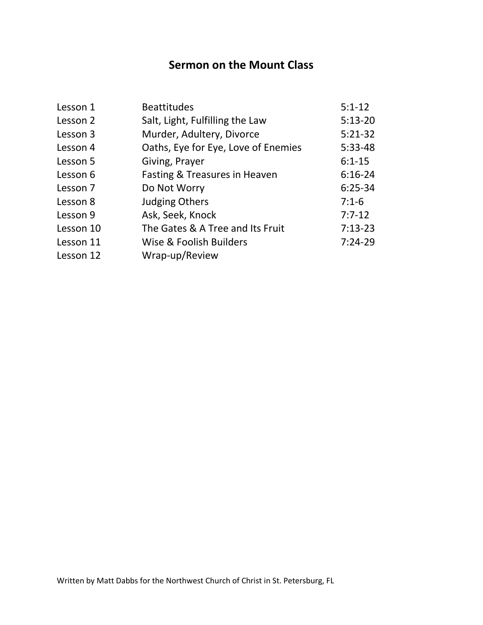# **Sermon on the Mount Class**

| Lesson 1  | <b>Beattitudes</b>                  | $5:1-12$   |
|-----------|-------------------------------------|------------|
| Lesson 2  | Salt, Light, Fulfilling the Law     | $5:13-20$  |
| Lesson 3  | Murder, Adultery, Divorce           | $5:21-32$  |
| Lesson 4  | Oaths, Eye for Eye, Love of Enemies | $5:33-48$  |
| Lesson 5  | Giving, Prayer                      | $6:1 - 15$ |
| Lesson 6  | Fasting & Treasures in Heaven       | $6:16-24$  |
| Lesson 7  | Do Not Worry                        | $6:25-34$  |
| Lesson 8  | <b>Judging Others</b>               | $7:1-6$    |
| Lesson 9  | Ask, Seek, Knock                    | $7:7-12$   |
| Lesson 10 | The Gates & A Tree and Its Fruit    | $7:13-23$  |
| Lesson 11 | Wise & Foolish Builders             | $7:24-29$  |
| Lesson 12 | Wrap-up/Review                      |            |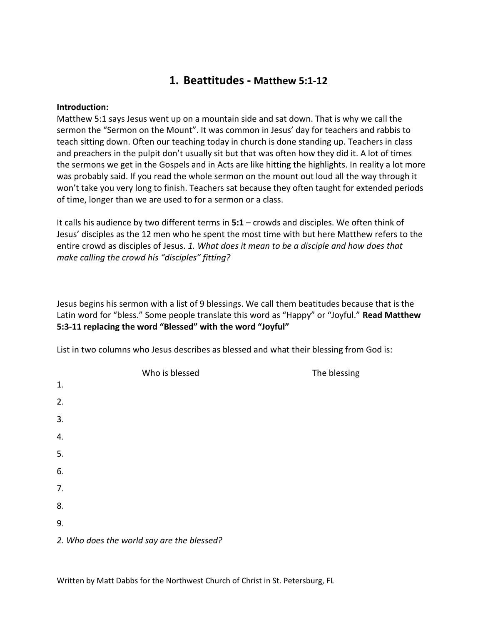## **1. Beattitudes - Matthew 5:1-12**

#### **Introduction:**

Matthew 5:1 says Jesus went up on a mountain side and sat down. That is why we call the sermon the "Sermon on the Mount". It was common in Jesus' day for teachers and rabbis to teach sitting down. Often our teaching today in church is done standing up. Teachers in class and preachers in the pulpit don't usually sit but that was often how they did it. A lot of times the sermons we get in the Gospels and in Acts are like hitting the highlights. In reality a lot more was probably said. If you read the whole sermon on the mount out loud all the way through it won't take you very long to finish. Teachers sat because they often taught for extended periods of time, longer than we are used to for a sermon or a class.

It calls his audience by two different terms in **5:1** – crowds and disciples. We often think of Jesus' disciples as the 12 men who he spent the most time with but here Matthew refers to the entire crowd as disciples of Jesus. *1. What does it mean to be a disciple and how does that make calling the crowd his "disciples" fitting?*

Jesus begins his sermon with a list of 9 blessings. We call them beatitudes because that is the Latin word for "bless." Some people translate this word as "Happy" or "Joyful." **Read Matthew 5:3-11 replacing the word "Blessed" with the word "Joyful"**

List in two columns who Jesus describes as blessed and what their blessing from God is:

|    | Who is blessed                             | The blessing |
|----|--------------------------------------------|--------------|
| 1. |                                            |              |
| 2. |                                            |              |
| 3. |                                            |              |
| 4. |                                            |              |
| 5. |                                            |              |
| 6. |                                            |              |
| 7. |                                            |              |
| 8. |                                            |              |
| 9. |                                            |              |
|    | 2. Who does the world say are the blessed? |              |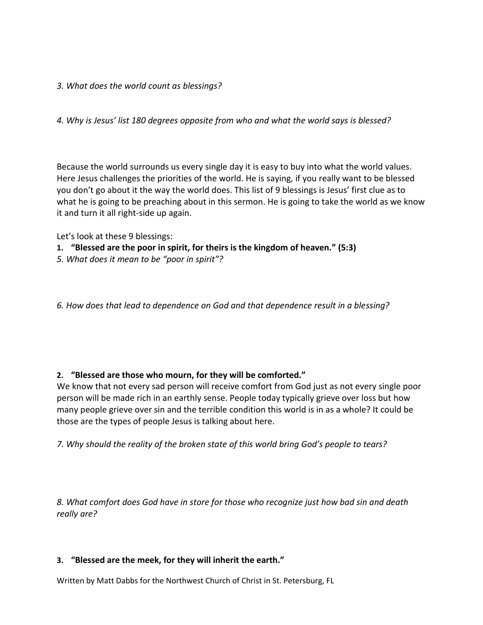### *3. What does the world count as blessings?*

*4. Why is Jesus' list 180 degrees opposite from who and what the world says is blessed?*

Because the world surrounds us every single day it is easy to buy into what the world values. Here Jesus challenges the priorities of the world. He is saying, if you really want to be blessed you don't go about it the way the world does. This list of 9 blessings is Jesus' first clue as to what he is going to be preaching about in this sermon. He is going to take the world as we know it and turn it all right-side up again.

Let's look at these 9 blessings:

- **1. "Blessed are the poor in spirit, for theirs is the kingdom of heaven." (5:3)**
- *5. What does it mean to be "poor in spirit"?*

*6. How does that lead to dependence on God and that dependence result in a blessing?*

### **2. "Blessed are those who mourn, for they will be comforted."**

We know that not every sad person will receive comfort from God just as not every single poor person will be made rich in an earthly sense. People today typically grieve over loss but how many people grieve over sin and the terrible condition this world is in as a whole? It could be those are the types of people Jesus is talking about here.

*7. Why should the reality of the broken state of this world bring God's people to tears?*

*8. What comfort does God have in store for those who recognize just how bad sin and death really are?*

### **3. "Blessed are the meek, for they will inherit the earth."**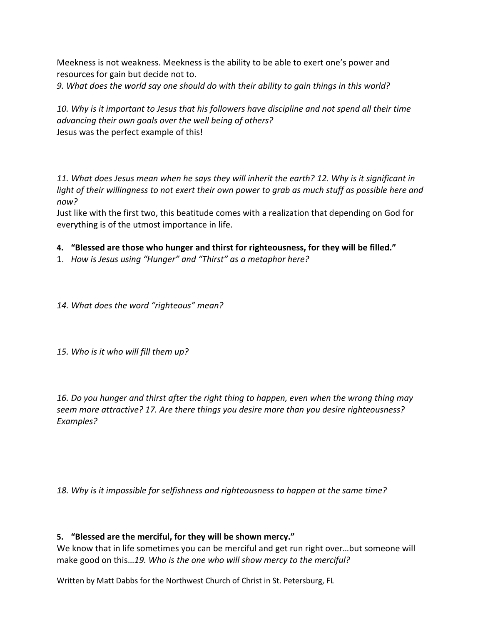Meekness is not weakness. Meekness is the ability to be able to exert one's power and resources for gain but decide not to.

*9. What does the world say one should do with their ability to gain things in this world?*

*10. Why is it important to Jesus that his followers have discipline and not spend all their time advancing their own goals over the well being of others?* Jesus was the perfect example of this!

*11. What does Jesus mean when he says they will inherit the earth? 12. Why is it significant in light of their willingness to not exert their own power to grab as much stuff as possible here and now?*

Just like with the first two, this beatitude comes with a realization that depending on God for everything is of the utmost importance in life.

### **4. "Blessed are those who hunger and thirst for righteousness, for they will be filled."**

1. *How is Jesus using "Hunger" and "Thirst" as a metaphor here?*

*14. What does the word "righteous" mean?*

*15. Who is it who will fill them up?*

*16. Do you hunger and thirst after the right thing to happen, even when the wrong thing may seem more attractive? 17. Are there things you desire more than you desire righteousness? Examples?*

*18. Why is it impossible for selfishness and righteousness to happen at the same time?*

### **5. "Blessed are the merciful, for they will be shown mercy."**

We know that in life sometimes you can be merciful and get run right over…but someone will make good on this…*19. Who is the one who will show mercy to the merciful?*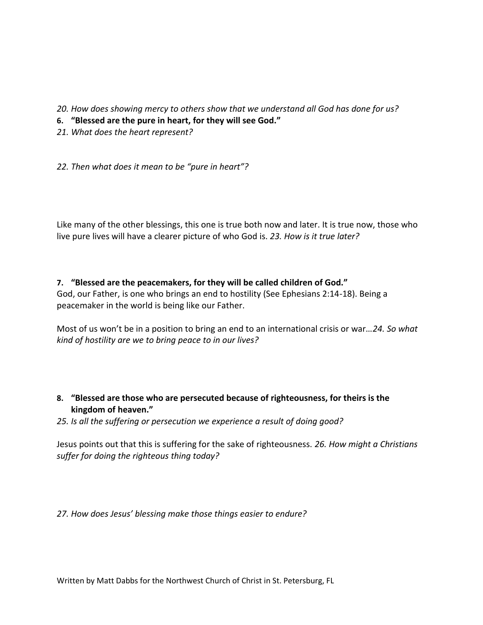*20. How does showing mercy to others show that we understand all God has done for us?*

- **6. "Blessed are the pure in heart, for they will see God."**
- *21. What does the heart represent?*

*22. Then what does it mean to be "pure in heart"?*

Like many of the other blessings, this one is true both now and later. It is true now, those who live pure lives will have a clearer picture of who God is. *23. How is it true later?*

## **7. "Blessed are the peacemakers, for they will be called children of God."**

God, our Father, is one who brings an end to hostility (See Ephesians 2:14-18). Being a peacemaker in the world is being like our Father.

Most of us won't be in a position to bring an end to an international crisis or war…*24. So what kind of hostility are we to bring peace to in our lives?*

## **8. "Blessed are those who are persecuted because of righteousness, for theirs is the kingdom of heaven."**

*25. Is all the suffering or persecution we experience a result of doing good?*

Jesus points out that this is suffering for the sake of righteousness. *26. How might a Christians suffer for doing the righteous thing today?*

*27. How does Jesus' blessing make those things easier to endure?*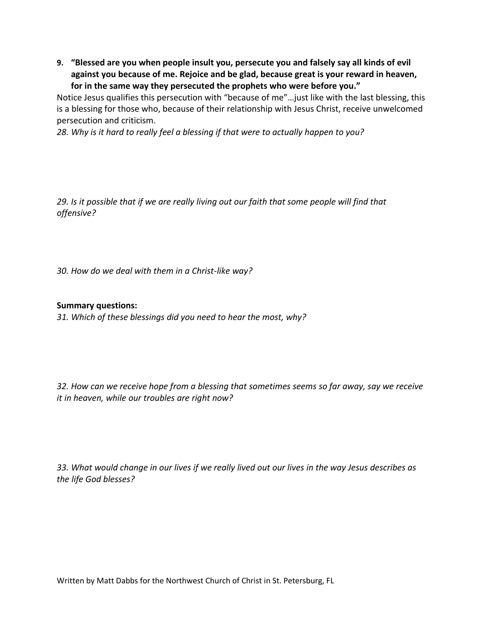**9. "Blessed are you when people insult you, persecute you and falsely say all kinds of evil against you because of me. Rejoice and be glad, because great is your reward in heaven, for in the same way they persecuted the prophets who were before you."**

Notice Jesus qualifies this persecution with "because of me"…just like with the last blessing, this is a blessing for those who, because of their relationship with Jesus Christ, receive unwelcomed persecution and criticism.

*28. Why is it hard to really feel a blessing if that were to actually happen to you?*

*29. Is it possible that if we are really living out our faith that some people will find that offensive?* 

*30. How do we deal with them in a Christ-like way?*

### **Summary questions:**

*31. Which of these blessings did you need to hear the most, why?*

*32. How can we receive hope from a blessing that sometimes seems so far away, say we receive it in heaven, while our troubles are right now?*

*33. What would change in our lives if we really lived out our lives in the way Jesus describes as the life God blesses?*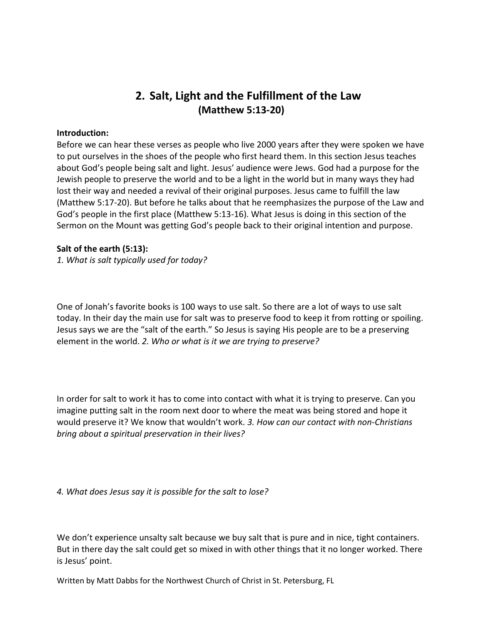## **2. Salt, Light and the Fulfillment of the Law (Matthew 5:13-20)**

#### **Introduction:**

Before we can hear these verses as people who live 2000 years after they were spoken we have to put ourselves in the shoes of the people who first heard them. In this section Jesus teaches about God's people being salt and light. Jesus' audience were Jews. God had a purpose for the Jewish people to preserve the world and to be a light in the world but in many ways they had lost their way and needed a revival of their original purposes. Jesus came to fulfill the law (Matthew 5:17-20). But before he talks about that he reemphasizes the purpose of the Law and God's people in the first place (Matthew 5:13-16). What Jesus is doing in this section of the Sermon on the Mount was getting God's people back to their original intention and purpose.

#### **Salt of the earth (5:13):**

*1. What is salt typically used for today?*

One of Jonah's favorite books is 100 ways to use salt. So there are a lot of ways to use salt today. In their day the main use for salt was to preserve food to keep it from rotting or spoiling. Jesus says we are the "salt of the earth." So Jesus is saying His people are to be a preserving element in the world. *2. Who or what is it we are trying to preserve?*

In order for salt to work it has to come into contact with what it is trying to preserve. Can you imagine putting salt in the room next door to where the meat was being stored and hope it would preserve it? We know that wouldn't work. *3. How can our contact with non-Christians bring about a spiritual preservation in their lives?*

*4. What does Jesus say it is possible for the salt to lose?*

We don't experience unsalty salt because we buy salt that is pure and in nice, tight containers. But in there day the salt could get so mixed in with other things that it no longer worked. There is Jesus' point.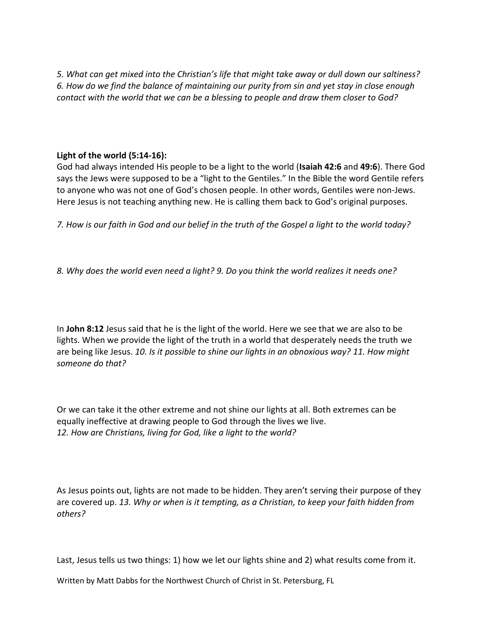*5. What can get mixed into the Christian's life that might take away or dull down our saltiness? 6. How do we find the balance of maintaining our purity from sin and yet stay in close enough contact with the world that we can be a blessing to people and draw them closer to God?*

### **Light of the world (5:14-16):**

God had always intended His people to be a light to the world (**Isaiah 42:6** and **49:6**). There God says the Jews were supposed to be a "light to the Gentiles." In the Bible the word Gentile refers to anyone who was not one of God's chosen people. In other words, Gentiles were non-Jews. Here Jesus is not teaching anything new. He is calling them back to God's original purposes.

*7. How is our faith in God and our belief in the truth of the Gospel a light to the world today?*

*8. Why does the world even need a light? 9. Do you think the world realizes it needs one?*

In **John 8:12** Jesus said that he is the light of the world. Here we see that we are also to be lights. When we provide the light of the truth in a world that desperately needs the truth we are being like Jesus. *10. Is it possible to shine our lights in an obnoxious way? 11. How might someone do that?*

Or we can take it the other extreme and not shine our lights at all. Both extremes can be equally ineffective at drawing people to God through the lives we live. *12. How are Christians, living for God, like a light to the world?*

As Jesus points out, lights are not made to be hidden. They aren't serving their purpose of they are covered up. *13. Why or when is it tempting, as a Christian, to keep your faith hidden from others?*

Last, Jesus tells us two things: 1) how we let our lights shine and 2) what results come from it.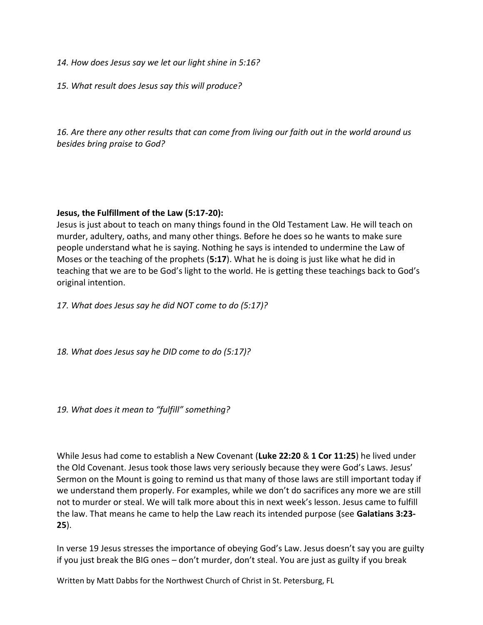- *14. How does Jesus say we let our light shine in 5:16?*
- *15. What result does Jesus say this will produce?*

*16. Are there any other results that can come from living our faith out in the world around us besides bring praise to God?*

### **Jesus, the Fulfillment of the Law (5:17-20):**

Jesus is just about to teach on many things found in the Old Testament Law. He will teach on murder, adultery, oaths, and many other things. Before he does so he wants to make sure people understand what he is saying. Nothing he says is intended to undermine the Law of Moses or the teaching of the prophets (**5:17**). What he is doing is just like what he did in teaching that we are to be God's light to the world. He is getting these teachings back to God's original intention.

*17. What does Jesus say he did NOT come to do (5:17)?*

*18. What does Jesus say he DID come to do (5:17)?*

*19. What does it mean to "fulfill" something?*

While Jesus had come to establish a New Covenant (**Luke 22:20** & **1 Cor 11:25**) he lived under the Old Covenant. Jesus took those laws very seriously because they were God's Laws. Jesus' Sermon on the Mount is going to remind us that many of those laws are still important today if we understand them properly. For examples, while we don't do sacrifices any more we are still not to murder or steal. We will talk more about this in next week's lesson. Jesus came to fulfill the law. That means he came to help the Law reach its intended purpose (see **Galatians 3:23- 25**).

In verse 19 Jesus stresses the importance of obeying God's Law. Jesus doesn't say you are guilty if you just break the BIG ones – don't murder, don't steal. You are just as guilty if you break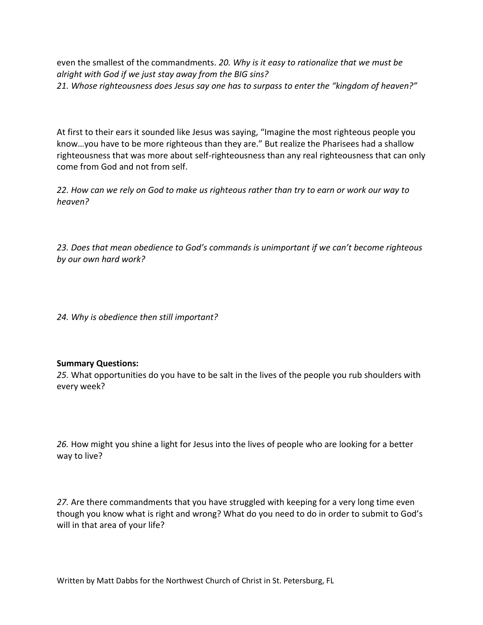even the smallest of the commandments. *20. Why is it easy to rationalize that we must be alright with God if we just stay away from the BIG sins? 21. Whose righteousness does Jesus say one has to surpass to enter the "kingdom of heaven?"* 

At first to their ears it sounded like Jesus was saying, "Imagine the most righteous people you know…you have to be more righteous than they are." But realize the Pharisees had a shallow righteousness that was more about self-righteousness than any real righteousness that can only come from God and not from self.

*22. How can we rely on God to make us righteous rather than try to earn or work our way to heaven?*

*23. Does that mean obedience to God's commands is unimportant if we can't become righteous by our own hard work?* 

*24. Why is obedience then still important?*

### **Summary Questions:**

*25.* What opportunities do you have to be salt in the lives of the people you rub shoulders with every week?

*26.* How might you shine a light for Jesus into the lives of people who are looking for a better way to live?

*27.* Are there commandments that you have struggled with keeping for a very long time even though you know what is right and wrong? What do you need to do in order to submit to God's will in that area of your life?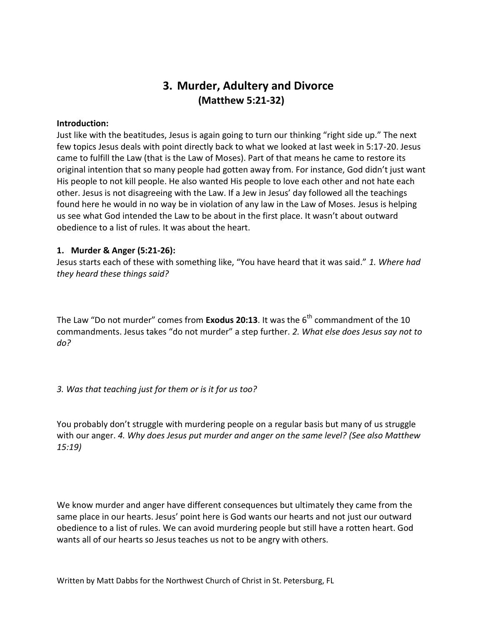## **3. Murder, Adultery and Divorce (Matthew 5:21-32)**

#### **Introduction:**

Just like with the beatitudes, Jesus is again going to turn our thinking "right side up." The next few topics Jesus deals with point directly back to what we looked at last week in 5:17-20. Jesus came to fulfill the Law (that is the Law of Moses). Part of that means he came to restore its original intention that so many people had gotten away from. For instance, God didn't just want His people to not kill people. He also wanted His people to love each other and not hate each other. Jesus is not disagreeing with the Law. If a Jew in Jesus' day followed all the teachings found here he would in no way be in violation of any law in the Law of Moses. Jesus is helping us see what God intended the Law to be about in the first place. It wasn't about outward obedience to a list of rules. It was about the heart.

#### **1. Murder & Anger (5:21-26):**

Jesus starts each of these with something like, "You have heard that it was said." *1. Where had they heard these things said?*

The Law "Do not murder" comes from **Exodus 20:13**. It was the 6<sup>th</sup> commandment of the 10 commandments. Jesus takes "do not murder" a step further. *2. What else does Jesus say not to do?*

*3. Was that teaching just for them or is it for us too?*

You probably don't struggle with murdering people on a regular basis but many of us struggle with our anger. *4. Why does Jesus put murder and anger on the same level? (See also Matthew 15:19)*

We know murder and anger have different consequences but ultimately they came from the same place in our hearts. Jesus' point here is God wants our hearts and not just our outward obedience to a list of rules. We can avoid murdering people but still have a rotten heart. God wants all of our hearts so Jesus teaches us not to be angry with others.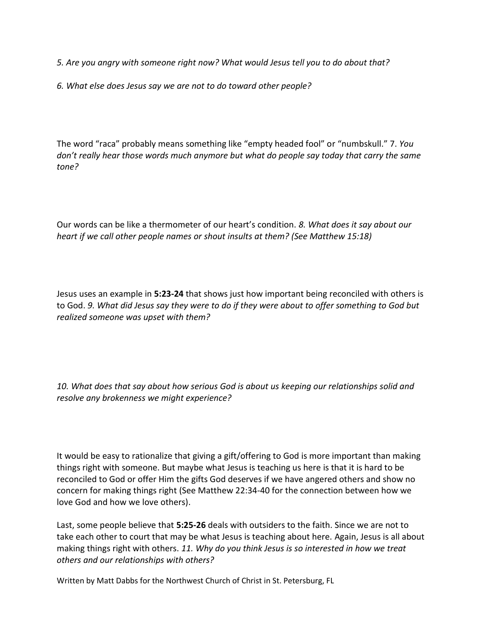*5. Are you angry with someone right now? What would Jesus tell you to do about that?*

*6. What else does Jesus say we are not to do toward other people?*

The word "raca" probably means something like "empty headed fool" or "numbskull." 7. *You don't really hear those words much anymore but what do people say today that carry the same tone?*

Our words can be like a thermometer of our heart's condition. *8. What does it say about our heart if we call other people names or shout insults at them? (See Matthew 15:18)*

Jesus uses an example in **5:23-24** that shows just how important being reconciled with others is to God. *9. What did Jesus say they were to do if they were about to offer something to God but realized someone was upset with them?*

*10. What does that say about how serious God is about us keeping our relationships solid and resolve any brokenness we might experience?*

It would be easy to rationalize that giving a gift/offering to God is more important than making things right with someone. But maybe what Jesus is teaching us here is that it is hard to be reconciled to God or offer Him the gifts God deserves if we have angered others and show no concern for making things right (See Matthew 22:34-40 for the connection between how we love God and how we love others).

Last, some people believe that **5:25-26** deals with outsiders to the faith. Since we are not to take each other to court that may be what Jesus is teaching about here. Again, Jesus is all about making things right with others. *11. Why do you think Jesus is so interested in how we treat others and our relationships with others?*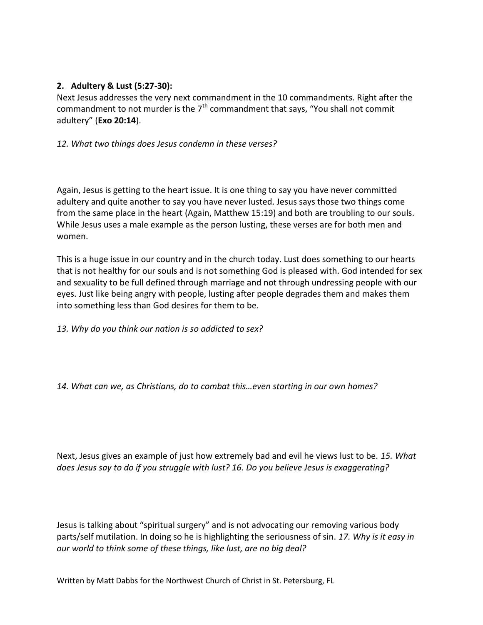## **2. Adultery & Lust (5:27-30):**

Next Jesus addresses the very next commandment in the 10 commandments. Right after the commandment to not murder is the  $7<sup>th</sup>$  commandment that says, "You shall not commit adultery" (**Exo 20:14**).

### *12. What two things does Jesus condemn in these verses?*

Again, Jesus is getting to the heart issue. It is one thing to say you have never committed adultery and quite another to say you have never lusted. Jesus says those two things come from the same place in the heart (Again, Matthew 15:19) and both are troubling to our souls. While Jesus uses a male example as the person lusting, these verses are for both men and women.

This is a huge issue in our country and in the church today. Lust does something to our hearts that is not healthy for our souls and is not something God is pleased with. God intended for sex and sexuality to be full defined through marriage and not through undressing people with our eyes. Just like being angry with people, lusting after people degrades them and makes them into something less than God desires for them to be.

*13. Why do you think our nation is so addicted to sex?*

*14. What can we, as Christians, do to combat this…even starting in our own homes?*

Next, Jesus gives an example of just how extremely bad and evil he views lust to be. *15. What does Jesus say to do if you struggle with lust? 16. Do you believe Jesus is exaggerating?*

Jesus is talking about "spiritual surgery" and is not advocating our removing various body parts/self mutilation. In doing so he is highlighting the seriousness of sin. *17. Why is it easy in our world to think some of these things, like lust, are no big deal?*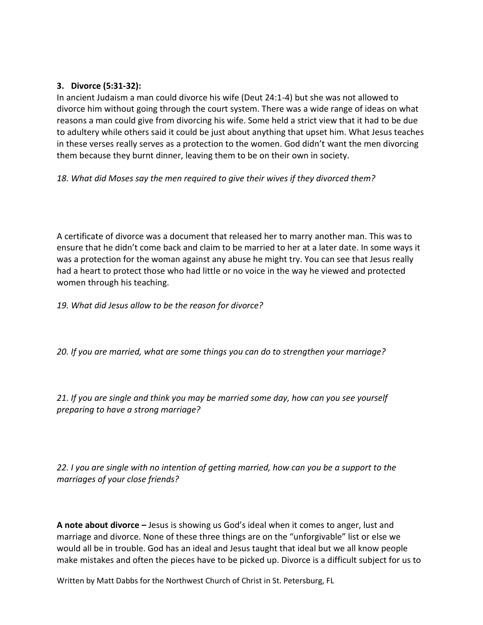### **3. Divorce (5:31-32):**

In ancient Judaism a man could divorce his wife (Deut 24:1-4) but she was not allowed to divorce him without going through the court system. There was a wide range of ideas on what reasons a man could give from divorcing his wife. Some held a strict view that it had to be due to adultery while others said it could be just about anything that upset him. What Jesus teaches in these verses really serves as a protection to the women. God didn't want the men divorcing them because they burnt dinner, leaving them to be on their own in society.

*18. What did Moses say the men required to give their wives if they divorced them?*

A certificate of divorce was a document that released her to marry another man. This was to ensure that he didn't come back and claim to be married to her at a later date. In some ways it was a protection for the woman against any abuse he might try. You can see that Jesus really had a heart to protect those who had little or no voice in the way he viewed and protected women through his teaching.

*19. What did Jesus allow to be the reason for divorce?*

*20. If you are married, what are some things you can do to strengthen your marriage?*

*21. If you are single and think you may be married some day, how can you see yourself preparing to have a strong marriage?*

*22. I you are single with no intention of getting married, how can you be a support to the marriages of your close friends?*

**A note about divorce –** Jesus is showing us God's ideal when it comes to anger, lust and marriage and divorce. None of these three things are on the "unforgivable" list or else we would all be in trouble. God has an ideal and Jesus taught that ideal but we all know people make mistakes and often the pieces have to be picked up. Divorce is a difficult subject for us to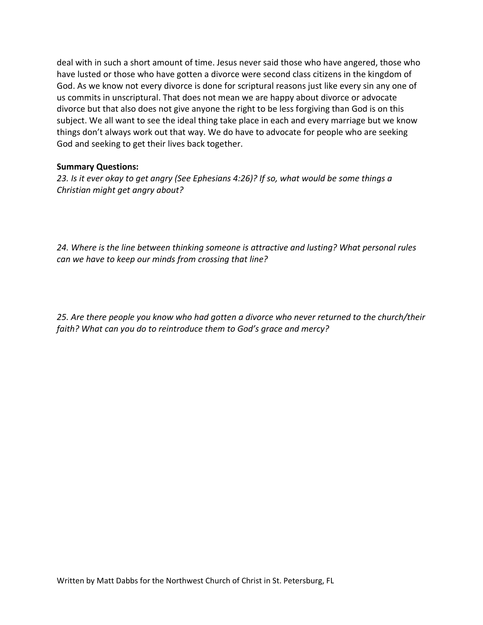deal with in such a short amount of time. Jesus never said those who have angered, those who have lusted or those who have gotten a divorce were second class citizens in the kingdom of God. As we know not every divorce is done for scriptural reasons just like every sin any one of us commits in unscriptural. That does not mean we are happy about divorce or advocate divorce but that also does not give anyone the right to be less forgiving than God is on this subject. We all want to see the ideal thing take place in each and every marriage but we know things don't always work out that way. We do have to advocate for people who are seeking God and seeking to get their lives back together.

### **Summary Questions:**

*23. Is it ever okay to get angry (See Ephesians 4:26)? If so, what would be some things a Christian might get angry about?*

*24. Where is the line between thinking someone is attractive and lusting? What personal rules can we have to keep our minds from crossing that line?*

*25. Are there people you know who had gotten a divorce who never returned to the church/their faith? What can you do to reintroduce them to God's grace and mercy?*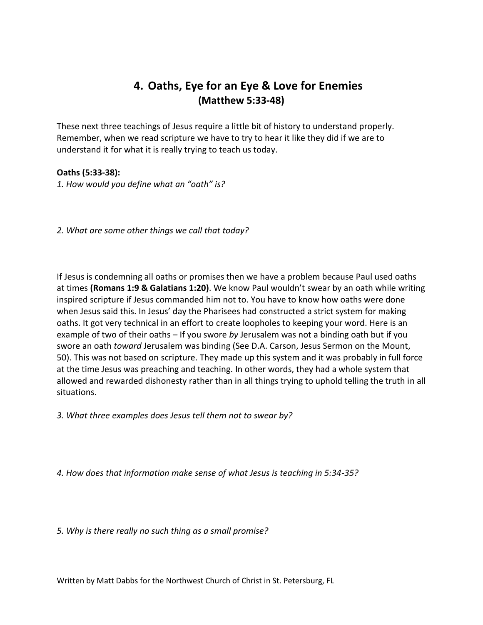## **4. Oaths, Eye for an Eye & Love for Enemies (Matthew 5:33-48)**

These next three teachings of Jesus require a little bit of history to understand properly. Remember, when we read scripture we have to try to hear it like they did if we are to understand it for what it is really trying to teach us today.

### **Oaths (5:33-38):**

*1. How would you define what an "oath" is?*

*2. What are some other things we call that today?*

If Jesus is condemning all oaths or promises then we have a problem because Paul used oaths at times **(Romans 1:9 & Galatians 1:20)**. We know Paul wouldn't swear by an oath while writing inspired scripture if Jesus commanded him not to. You have to know how oaths were done when Jesus said this. In Jesus' day the Pharisees had constructed a strict system for making oaths. It got very technical in an effort to create loopholes to keeping your word. Here is an example of two of their oaths – If you swore *by* Jerusalem was not a binding oath but if you swore an oath *toward* Jerusalem was binding (See D.A. Carson, Jesus Sermon on the Mount, 50). This was not based on scripture. They made up this system and it was probably in full force at the time Jesus was preaching and teaching. In other words, they had a whole system that allowed and rewarded dishonesty rather than in all things trying to uphold telling the truth in all situations.

*3. What three examples does Jesus tell them not to swear by?*

*4. How does that information make sense of what Jesus is teaching in 5:34-35?*

*5. Why is there really no such thing as a small promise?*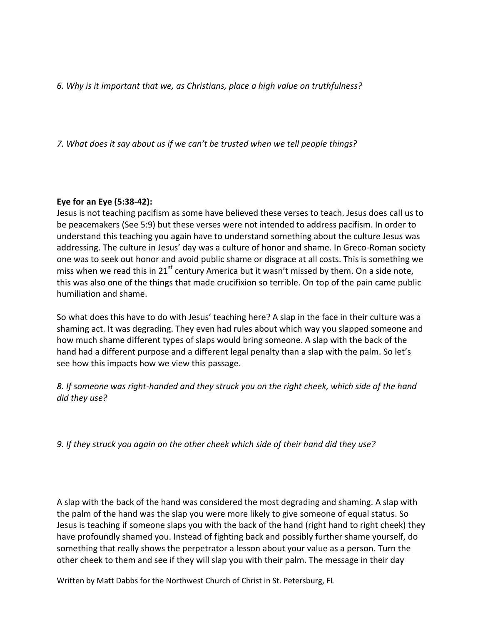*6. Why is it important that we, as Christians, place a high value on truthfulness?*

*7. What does it say about us if we can't be trusted when we tell people things?*

### **Eye for an Eye (5:38-42):**

Jesus is not teaching pacifism as some have believed these verses to teach. Jesus does call us to be peacemakers (See 5:9) but these verses were not intended to address pacifism. In order to understand this teaching you again have to understand something about the culture Jesus was addressing. The culture in Jesus' day was a culture of honor and shame. In Greco-Roman society one was to seek out honor and avoid public shame or disgrace at all costs. This is something we miss when we read this in  $21^{st}$  century America but it wasn't missed by them. On a side note, this was also one of the things that made crucifixion so terrible. On top of the pain came public humiliation and shame.

So what does this have to do with Jesus' teaching here? A slap in the face in their culture was a shaming act. It was degrading. They even had rules about which way you slapped someone and how much shame different types of slaps would bring someone. A slap with the back of the hand had a different purpose and a different legal penalty than a slap with the palm. So let's see how this impacts how we view this passage.

*8. If someone was right-handed and they struck you on the right cheek, which side of the hand did they use?*

*9. If they struck you again on the other cheek which side of their hand did they use?*

A slap with the back of the hand was considered the most degrading and shaming. A slap with the palm of the hand was the slap you were more likely to give someone of equal status. So Jesus is teaching if someone slaps you with the back of the hand (right hand to right cheek) they have profoundly shamed you. Instead of fighting back and possibly further shame yourself, do something that really shows the perpetrator a lesson about your value as a person. Turn the other cheek to them and see if they will slap you with their palm. The message in their day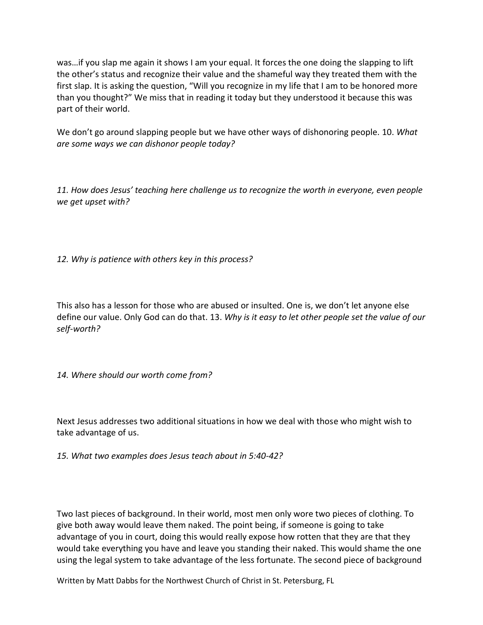was…if you slap me again it shows I am your equal. It forces the one doing the slapping to lift the other's status and recognize their value and the shameful way they treated them with the first slap. It is asking the question, "Will you recognize in my life that I am to be honored more than you thought?" We miss that in reading it today but they understood it because this was part of their world.

We don't go around slapping people but we have other ways of dishonoring people. 10. *What are some ways we can dishonor people today?*

*11. How does Jesus' teaching here challenge us to recognize the worth in everyone, even people we get upset with?*

*12. Why is patience with others key in this process?*

This also has a lesson for those who are abused or insulted. One is, we don't let anyone else define our value. Only God can do that. 13. *Why is it easy to let other people set the value of our self-worth?*

*14. Where should our worth come from?*

Next Jesus addresses two additional situations in how we deal with those who might wish to take advantage of us.

*15. What two examples does Jesus teach about in 5:40-42?*

Two last pieces of background. In their world, most men only wore two pieces of clothing. To give both away would leave them naked. The point being, if someone is going to take advantage of you in court, doing this would really expose how rotten that they are that they would take everything you have and leave you standing their naked. This would shame the one using the legal system to take advantage of the less fortunate. The second piece of background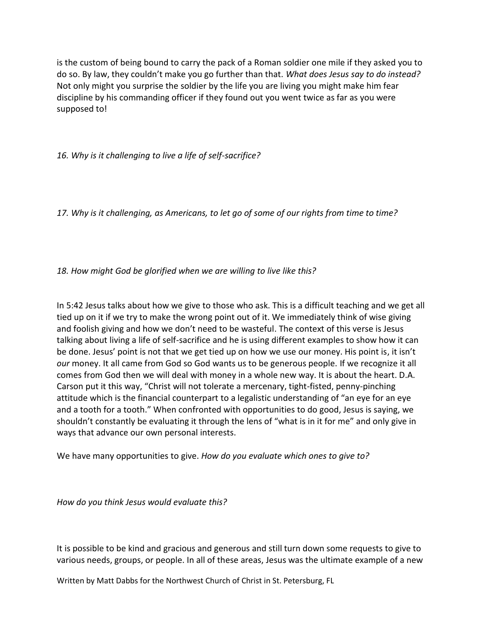is the custom of being bound to carry the pack of a Roman soldier one mile if they asked you to do so. By law, they couldn't make you go further than that. *What does Jesus say to do instead?* Not only might you surprise the soldier by the life you are living you might make him fear discipline by his commanding officer if they found out you went twice as far as you were supposed to!

*16. Why is it challenging to live a life of self-sacrifice?*

*17. Why is it challenging, as Americans, to let go of some of our rights from time to time?*

*18. How might God be glorified when we are willing to live like this?*

In 5:42 Jesus talks about how we give to those who ask. This is a difficult teaching and we get all tied up on it if we try to make the wrong point out of it. We immediately think of wise giving and foolish giving and how we don't need to be wasteful. The context of this verse is Jesus talking about living a life of self-sacrifice and he is using different examples to show how it can be done. Jesus' point is not that we get tied up on how we use our money. His point is, it isn't *our* money. It all came from God so God wants us to be generous people. If we recognize it all comes from God then we will deal with money in a whole new way. It is about the heart. D.A. Carson put it this way, "Christ will not tolerate a mercenary, tight-fisted, penny-pinching attitude which is the financial counterpart to a legalistic understanding of "an eye for an eye and a tooth for a tooth." When confronted with opportunities to do good, Jesus is saying, we shouldn't constantly be evaluating it through the lens of "what is in it for me" and only give in ways that advance our own personal interests.

We have many opportunities to give. *How do you evaluate which ones to give to?*

*How do you think Jesus would evaluate this?*

It is possible to be kind and gracious and generous and still turn down some requests to give to various needs, groups, or people. In all of these areas, Jesus was the ultimate example of a new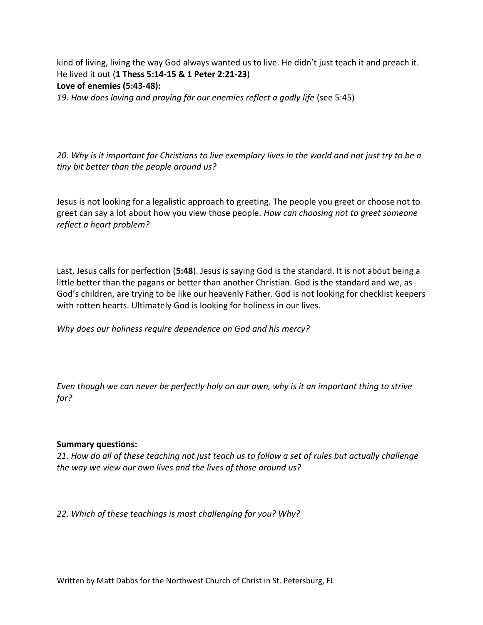kind of living, living the way God always wanted us to live. He didn't just teach it and preach it. He lived it out (**1 Thess 5:14-15 & 1 Peter 2:21-23**) **Love of enemies (5:43-48):**

19. How does loving and praying for our enemies reflect a godly life (see 5:45)

*20. Why is it important for Christians to live exemplary lives in the world and not just try to be a tiny bit better than the people around us?*

Jesus is not looking for a legalistic approach to greeting. The people you greet or choose not to greet can say a lot about how you view those people. *How can choosing not to greet someone reflect a heart problem?*

Last, Jesus calls for perfection (**5:48**). Jesus is saying God is the standard. It is not about being a little better than the pagans or better than another Christian. God is the standard and we, as God's children, are trying to be like our heavenly Father. God is not looking for checklist keepers with rotten hearts. Ultimately God is looking for holiness in our lives.

*Why does our holiness require dependence on God and his mercy?*

*Even though we can never be perfectly holy on our own, why is it an important thing to strive for?*

### **Summary questions:**

*21. How do all of these teaching not just teach us to follow a set of rules but actually challenge the way we view our own lives and the lives of those around us?*

*22. Which of these teachings is most challenging for you? Why?*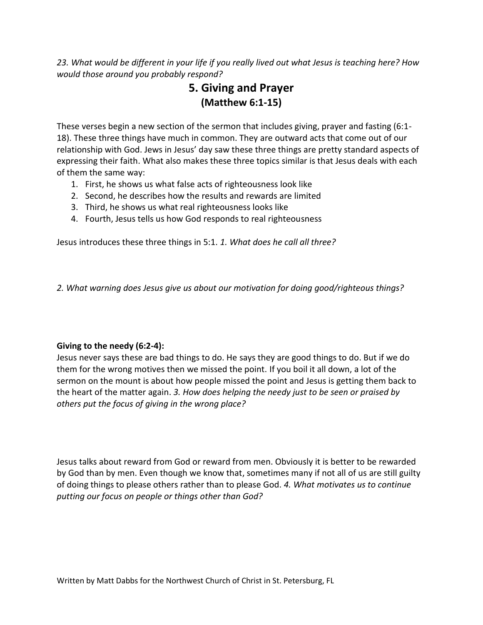*23. What would be different in your life if you really lived out what Jesus is teaching here? How would those around you probably respond?*

# **5. Giving and Prayer (Matthew 6:1-15)**

These verses begin a new section of the sermon that includes giving, prayer and fasting (6:1- 18). These three things have much in common. They are outward acts that come out of our relationship with God. Jews in Jesus' day saw these three things are pretty standard aspects of expressing their faith. What also makes these three topics similar is that Jesus deals with each of them the same way:

- 1. First, he shows us what false acts of righteousness look like
- 2. Second, he describes how the results and rewards are limited
- 3. Third, he shows us what real righteousness looks like
- 4. Fourth, Jesus tells us how God responds to real righteousness

Jesus introduces these three things in 5:1. *1. What does he call all three?*

*2. What warning does Jesus give us about our motivation for doing good/righteous things?*

### **Giving to the needy (6:2-4):**

Jesus never says these are bad things to do. He says they are good things to do. But if we do them for the wrong motives then we missed the point. If you boil it all down, a lot of the sermon on the mount is about how people missed the point and Jesus is getting them back to the heart of the matter again. *3. How does helping the needy just to be seen or praised by others put the focus of giving in the wrong place?*

Jesus talks about reward from God or reward from men. Obviously it is better to be rewarded by God than by men. Even though we know that, sometimes many if not all of us are still guilty of doing things to please others rather than to please God. *4. What motivates us to continue putting our focus on people or things other than God?*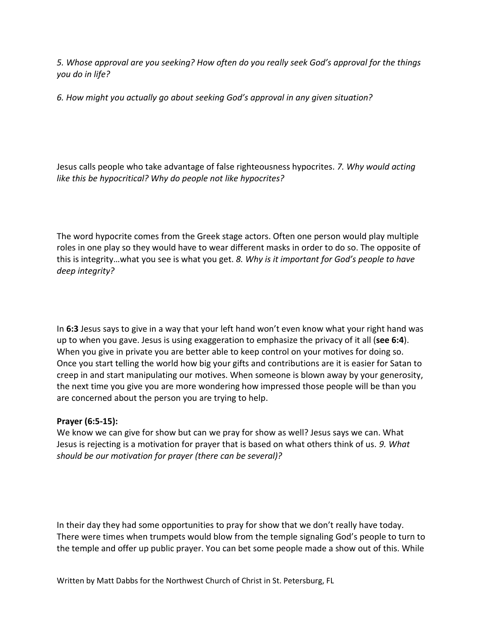*5. Whose approval are you seeking? How often do you really seek God's approval for the things you do in life?*

*6. How might you actually go about seeking God's approval in any given situation?*

Jesus calls people who take advantage of false righteousness hypocrites. *7. Why would acting like this be hypocritical? Why do people not like hypocrites?*

The word hypocrite comes from the Greek stage actors. Often one person would play multiple roles in one play so they would have to wear different masks in order to do so. The opposite of this is integrity…what you see is what you get. *8. Why is it important for God's people to have deep integrity?*

In **6:3** Jesus says to give in a way that your left hand won't even know what your right hand was up to when you gave. Jesus is using exaggeration to emphasize the privacy of it all (**see 6:4**). When you give in private you are better able to keep control on your motives for doing so. Once you start telling the world how big your gifts and contributions are it is easier for Satan to creep in and start manipulating our motives. When someone is blown away by your generosity, the next time you give you are more wondering how impressed those people will be than you are concerned about the person you are trying to help.

### **Prayer (6:5-15):**

We know we can give for show but can we pray for show as well? Jesus says we can. What Jesus is rejecting is a motivation for prayer that is based on what others think of us. *9. What should be our motivation for prayer (there can be several)?*

In their day they had some opportunities to pray for show that we don't really have today. There were times when trumpets would blow from the temple signaling God's people to turn to the temple and offer up public prayer. You can bet some people made a show out of this. While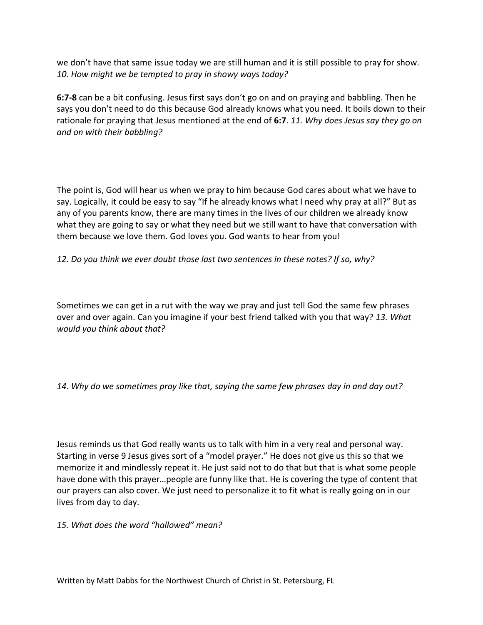we don't have that same issue today we are still human and it is still possible to pray for show. *10. How might we be tempted to pray in showy ways today?*

**6:7-8** can be a bit confusing. Jesus first says don't go on and on praying and babbling. Then he says you don't need to do this because God already knows what you need. It boils down to their rationale for praying that Jesus mentioned at the end of **6:7**. *11. Why does Jesus say they go on and on with their babbling?*

The point is, God will hear us when we pray to him because God cares about what we have to say. Logically, it could be easy to say "If he already knows what I need why pray at all?" But as any of you parents know, there are many times in the lives of our children we already know what they are going to say or what they need but we still want to have that conversation with them because we love them. God loves you. God wants to hear from you!

### *12. Do you think we ever doubt those last two sentences in these notes? If so, why?*

Sometimes we can get in a rut with the way we pray and just tell God the same few phrases over and over again. Can you imagine if your best friend talked with you that way? *13. What would you think about that?*

## *14. Why do we sometimes pray like that, saying the same few phrases day in and day out?*

Jesus reminds us that God really wants us to talk with him in a very real and personal way. Starting in verse 9 Jesus gives sort of a "model prayer." He does not give us this so that we memorize it and mindlessly repeat it. He just said not to do that but that is what some people have done with this prayer…people are funny like that. He is covering the type of content that our prayers can also cover. We just need to personalize it to fit what is really going on in our lives from day to day.

### *15. What does the word "hallowed" mean?*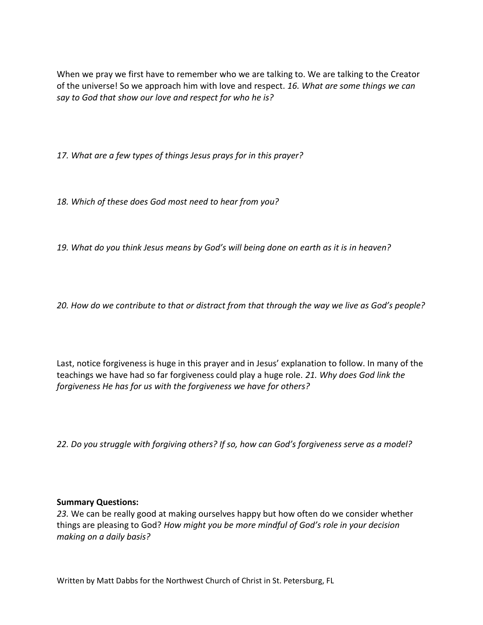When we pray we first have to remember who we are talking to. We are talking to the Creator of the universe! So we approach him with love and respect. *16. What are some things we can say to God that show our love and respect for who he is?*

*17. What are a few types of things Jesus prays for in this prayer?*

*18. Which of these does God most need to hear from you?*

*19. What do you think Jesus means by God's will being done on earth as it is in heaven?*

*20. How do we contribute to that or distract from that through the way we live as God's people?*

Last, notice forgiveness is huge in this prayer and in Jesus' explanation to follow. In many of the teachings we have had so far forgiveness could play a huge role. *21. Why does God link the forgiveness He has for us with the forgiveness we have for others?*

*22. Do you struggle with forgiving others? If so, how can God's forgiveness serve as a model?*

### **Summary Questions:**

*23.* We can be really good at making ourselves happy but how often do we consider whether things are pleasing to God? *How might you be more mindful of God's role in your decision making on a daily basis?*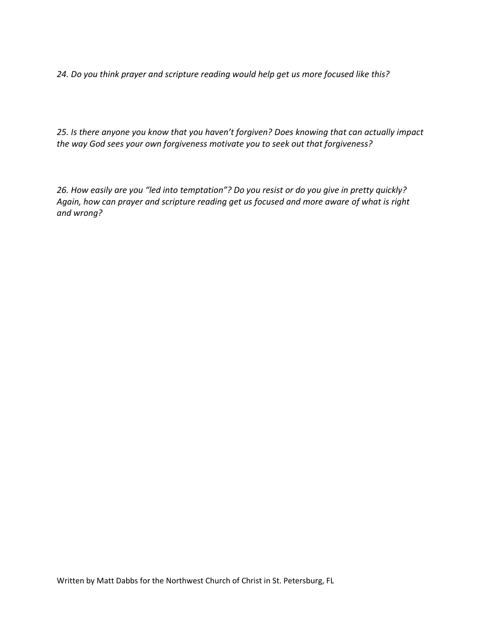*24. Do you think prayer and scripture reading would help get us more focused like this?*

*25. Is there anyone you know that you haven't forgiven? Does knowing that can actually impact the way God sees your own forgiveness motivate you to seek out that forgiveness?*

*26. How easily are you "led into temptation"? Do you resist or do you give in pretty quickly? Again, how can prayer and scripture reading get us focused and more aware of what is right and wrong?*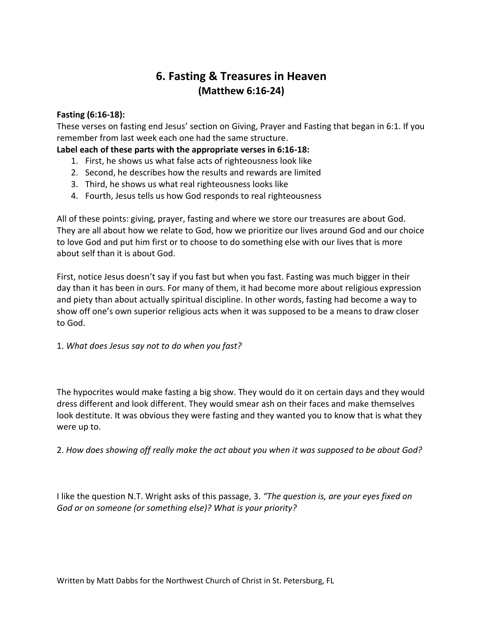## **6. Fasting & Treasures in Heaven (Matthew 6:16-24)**

### **Fasting (6:16-18):**

These verses on fasting end Jesus' section on Giving, Prayer and Fasting that began in 6:1. If you remember from last week each one had the same structure.

**Label each of these parts with the appropriate verses in 6:16-18:**

- 1. First, he shows us what false acts of righteousness look like
- 2. Second, he describes how the results and rewards are limited
- 3. Third, he shows us what real righteousness looks like
- 4. Fourth, Jesus tells us how God responds to real righteousness

All of these points: giving, prayer, fasting and where we store our treasures are about God. They are all about how we relate to God, how we prioritize our lives around God and our choice to love God and put him first or to choose to do something else with our lives that is more about self than it is about God.

First, notice Jesus doesn't say if you fast but when you fast. Fasting was much bigger in their day than it has been in ours. For many of them, it had become more about religious expression and piety than about actually spiritual discipline. In other words, fasting had become a way to show off one's own superior religious acts when it was supposed to be a means to draw closer to God.

1. *What does Jesus say not to do when you fast?*

The hypocrites would make fasting a big show. They would do it on certain days and they would dress different and look different. They would smear ash on their faces and make themselves look destitute. It was obvious they were fasting and they wanted you to know that is what they were up to.

2. *How does showing off really make the act about you when it was supposed to be about God?*

I like the question N.T. Wright asks of this passage, 3. *"The question is, are your eyes fixed on God or on someone (or something else)? What is your priority?*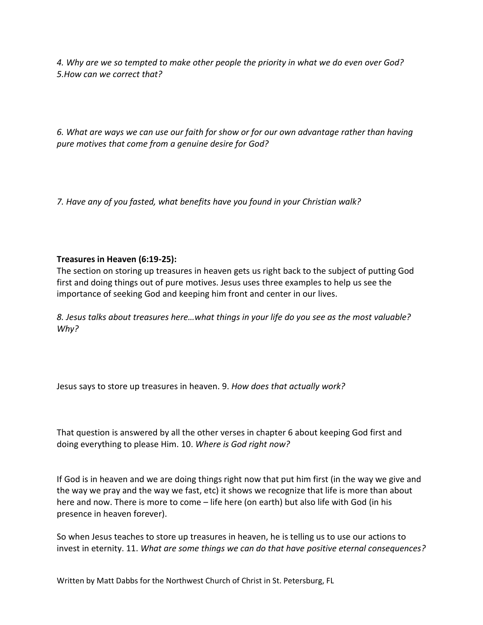*4. Why are we so tempted to make other people the priority in what we do even over God? 5.How can we correct that?*

*6. What are ways we can use our faith for show or for our own advantage rather than having pure motives that come from a genuine desire for God?*

*7. Have any of you fasted, what benefits have you found in your Christian walk?*

## **Treasures in Heaven (6:19-25):**

The section on storing up treasures in heaven gets us right back to the subject of putting God first and doing things out of pure motives. Jesus uses three examples to help us see the importance of seeking God and keeping him front and center in our lives.

*8. Jesus talks about treasures here…what things in your life do you see as the most valuable? Why?*

Jesus says to store up treasures in heaven. 9. *How does that actually work?*

That question is answered by all the other verses in chapter 6 about keeping God first and doing everything to please Him. 10. *Where is God right now?*

If God is in heaven and we are doing things right now that put him first (in the way we give and the way we pray and the way we fast, etc) it shows we recognize that life is more than about here and now. There is more to come – life here (on earth) but also life with God (in his presence in heaven forever).

So when Jesus teaches to store up treasures in heaven, he is telling us to use our actions to invest in eternity. 11. *What are some things we can do that have positive eternal consequences?*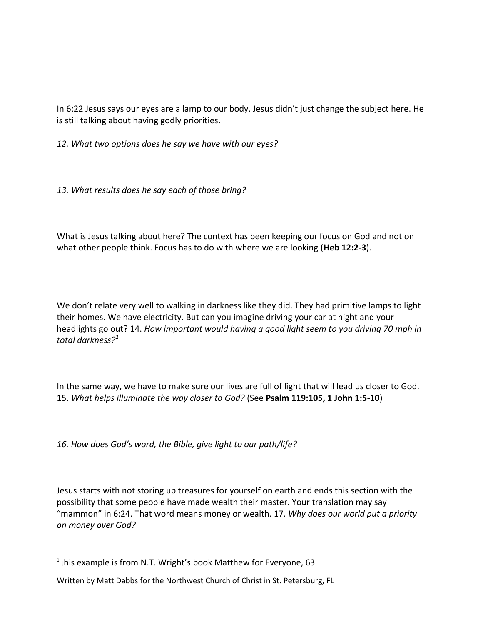In 6:22 Jesus says our eyes are a lamp to our body. Jesus didn't just change the subject here. He is still talking about having godly priorities.

*12. What two options does he say we have with our eyes?*

*13. What results does he say each of those bring?*

What is Jesus talking about here? The context has been keeping our focus on God and not on what other people think. Focus has to do with where we are looking (**Heb 12:2-3**).

We don't relate very well to walking in darkness like they did. They had primitive lamps to light their homes. We have electricity. But can you imagine driving your car at night and your headlights go out? 14. *How important would having a good light seem to you driving 70 mph in total darkness?<sup>1</sup>*

In the same way, we have to make sure our lives are full of light that will lead us closer to God. 15. *What helps illuminate the way closer to God?* (See **Psalm 119:105, 1 John 1:5-10**)

*16. How does God's word, the Bible, give light to our path/life?* 

Jesus starts with not storing up treasures for yourself on earth and ends this section with the possibility that some people have made wealth their master. Your translation may say "mammon" in 6:24. That word means money or wealth. 17. *Why does our world put a priority on money over God?*

 $\overline{a}$ 

 $1$ this example is from N.T. Wright's book Matthew for Everyone, 63

Written by Matt Dabbs for the Northwest Church of Christ in St. Petersburg, FL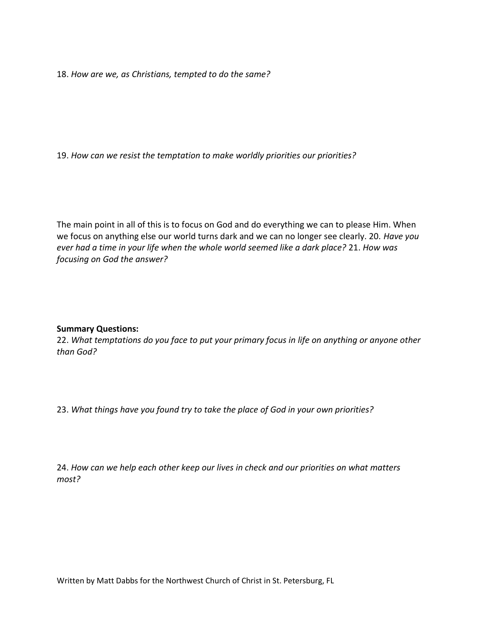18. *How are we, as Christians, tempted to do the same?*

19. *How can we resist the temptation to make worldly priorities our priorities?*

The main point in all of this is to focus on God and do everything we can to please Him. When we focus on anything else our world turns dark and we can no longer see clearly. 20. *Have you ever had a time in your life when the whole world seemed like a dark place?* 21. *How was focusing on God the answer?*

#### **Summary Questions:**

22. *What temptations do you face to put your primary focus in life on anything or anyone other than God?*

23. *What things have you found try to take the place of God in your own priorities?*

24. *How can we help each other keep our lives in check and our priorities on what matters most?*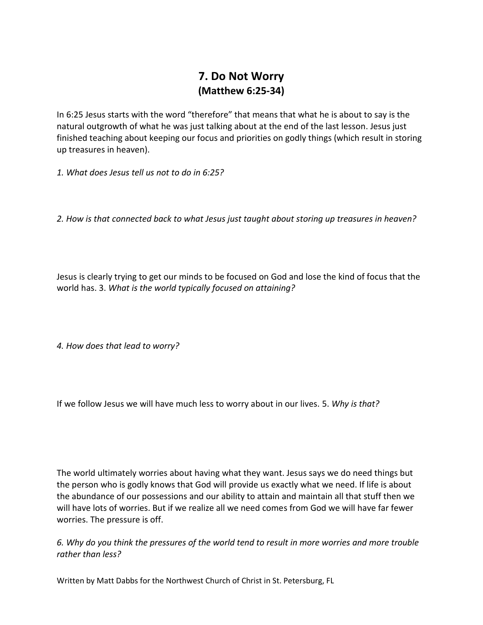# **7. Do Not Worry (Matthew 6:25-34)**

In 6:25 Jesus starts with the word "therefore" that means that what he is about to say is the natural outgrowth of what he was just talking about at the end of the last lesson. Jesus just finished teaching about keeping our focus and priorities on godly things (which result in storing up treasures in heaven).

*1. What does Jesus tell us not to do in 6:25?*

*2. How is that connected back to what Jesus just taught about storing up treasures in heaven?*

Jesus is clearly trying to get our minds to be focused on God and lose the kind of focus that the world has. 3. *What is the world typically focused on attaining?*

*4. How does that lead to worry?*

If we follow Jesus we will have much less to worry about in our lives. 5. *Why is that?*

The world ultimately worries about having what they want. Jesus says we do need things but the person who is godly knows that God will provide us exactly what we need. If life is about the abundance of our possessions and our ability to attain and maintain all that stuff then we will have lots of worries. But if we realize all we need comes from God we will have far fewer worries. The pressure is off.

*6. Why do you think the pressures of the world tend to result in more worries and more trouble rather than less?*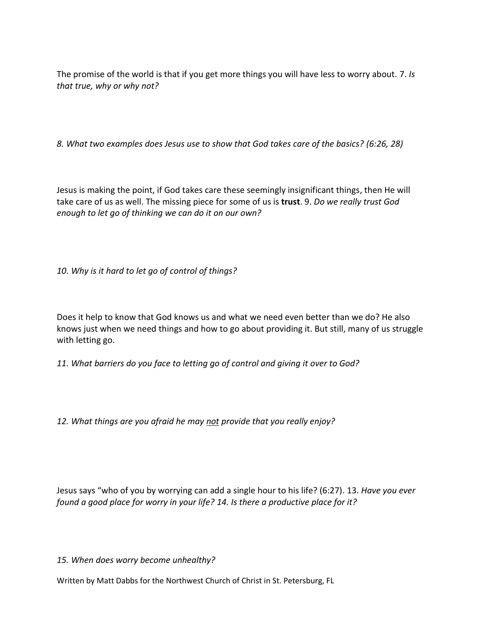The promise of the world is that if you get more things you will have less to worry about. 7. *Is that true, why or why not?*

*8. What two examples does Jesus use to show that God takes care of the basics? (6:26, 28)*

Jesus is making the point, if God takes care these seemingly insignificant things, then He will take care of us as well. The missing piece for some of us is **trust**. 9. *Do we really trust God enough to let go of thinking we can do it on our own?*

*10. Why is it hard to let go of control of things?*

Does it help to know that God knows us and what we need even better than we do? He also knows just when we need things and how to go about providing it. But still, many of us struggle with letting go.

*11. What barriers do you face to letting go of control and giving it over to God?*

*12. What things are you afraid he may not provide that you really enjoy?*

Jesus says "who of you by worrying can add a single hour to his life? (6:27). 13. *Have you ever found a good place for worry in your life? 14. Is there a productive place for it?*

*15. When does worry become unhealthy?*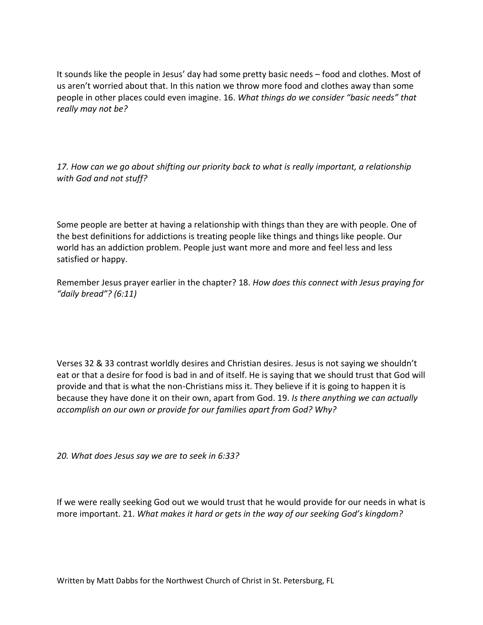It sounds like the people in Jesus' day had some pretty basic needs – food and clothes. Most of us aren't worried about that. In this nation we throw more food and clothes away than some people in other places could even imagine. 16. *What things do we consider "basic needs" that really may not be?*

*17. How can we go about shifting our priority back to what is really important, a relationship with God and not stuff?*

Some people are better at having a relationship with things than they are with people. One of the best definitions for addictions is treating people like things and things like people. Our world has an addiction problem. People just want more and more and feel less and less satisfied or happy.

Remember Jesus prayer earlier in the chapter? 18. *How does this connect with Jesus praying for "daily bread"? (6:11)*

Verses 32 & 33 contrast worldly desires and Christian desires. Jesus is not saying we shouldn't eat or that a desire for food is bad in and of itself. He is saying that we should trust that God will provide and that is what the non-Christians miss it. They believe if it is going to happen it is because they have done it on their own, apart from God. 19. *Is there anything we can actually accomplish on our own or provide for our families apart from God? Why?*

*20. What does Jesus say we are to seek in 6:33?*

If we were really seeking God out we would trust that he would provide for our needs in what is more important. 21. *What makes it hard or gets in the way of our seeking God's kingdom?*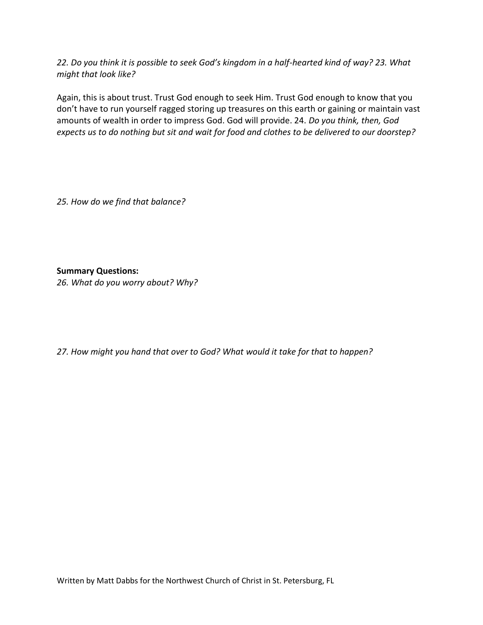*22. Do you think it is possible to seek God's kingdom in a half-hearted kind of way? 23. What might that look like?*

Again, this is about trust. Trust God enough to seek Him. Trust God enough to know that you don't have to run yourself ragged storing up treasures on this earth or gaining or maintain vast amounts of wealth in order to impress God. God will provide. 24. *Do you think, then, God expects us to do nothing but sit and wait for food and clothes to be delivered to our doorstep?* 

*25. How do we find that balance?*

**Summary Questions:**

*26. What do you worry about? Why?*

*27. How might you hand that over to God? What would it take for that to happen?*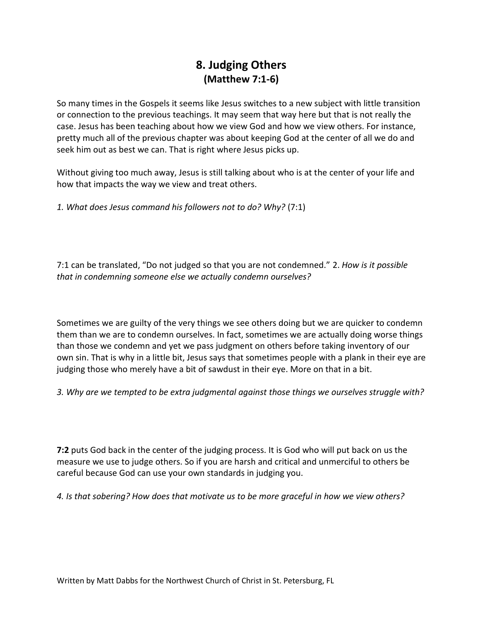# **8. Judging Others (Matthew 7:1-6)**

So many times in the Gospels it seems like Jesus switches to a new subject with little transition or connection to the previous teachings. It may seem that way here but that is not really the case. Jesus has been teaching about how we view God and how we view others. For instance, pretty much all of the previous chapter was about keeping God at the center of all we do and seek him out as best we can. That is right where Jesus picks up.

Without giving too much away, Jesus is still talking about who is at the center of your life and how that impacts the way we view and treat others.

*1. What does Jesus command his followers not to do? Why?* (7:1)

7:1 can be translated, "Do not judged so that you are not condemned." 2. *How is it possible that in condemning someone else we actually condemn ourselves?*

Sometimes we are guilty of the very things we see others doing but we are quicker to condemn them than we are to condemn ourselves. In fact, sometimes we are actually doing worse things than those we condemn and yet we pass judgment on others before taking inventory of our own sin. That is why in a little bit, Jesus says that sometimes people with a plank in their eye are judging those who merely have a bit of sawdust in their eye. More on that in a bit.

*3. Why are we tempted to be extra judgmental against those things we ourselves struggle with?*

**7:2** puts God back in the center of the judging process. It is God who will put back on us the measure we use to judge others. So if you are harsh and critical and unmerciful to others be careful because God can use your own standards in judging you.

*4. Is that sobering? How does that motivate us to be more graceful in how we view others?*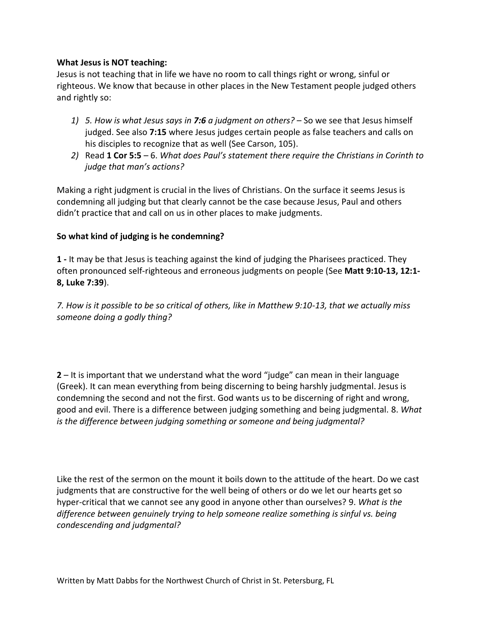### **What Jesus is NOT teaching:**

Jesus is not teaching that in life we have no room to call things right or wrong, sinful or righteous. We know that because in other places in the New Testament people judged others and rightly so:

- *1) 5. How is what Jesus says in 7:6 a judgment on others?* So we see that Jesus himself judged. See also **7:15** where Jesus judges certain people as false teachers and calls on his disciples to recognize that as well (See Carson, 105).
- *2)* Read **1 Cor 5:5** 6. *What does Paul's statement there require the Christians in Corinth to judge that man's actions?*

Making a right judgment is crucial in the lives of Christians. On the surface it seems Jesus is condemning all judging but that clearly cannot be the case because Jesus, Paul and others didn't practice that and call on us in other places to make judgments.

### **So what kind of judging is he condemning?**

**1 -** It may be that Jesus is teaching against the kind of judging the Pharisees practiced. They often pronounced self-righteous and erroneous judgments on people (See **Matt 9:10-13, 12:1- 8, Luke 7:39**).

*7. How is it possible to be so critical of others, like in Matthew 9:10-13, that we actually miss someone doing a godly thing?*

**2** – It is important that we understand what the word "judge" can mean in their language (Greek). It can mean everything from being discerning to being harshly judgmental. Jesus is condemning the second and not the first. God wants us to be discerning of right and wrong, good and evil. There is a difference between judging something and being judgmental. 8. *What is the difference between judging something or someone and being judgmental?*

Like the rest of the sermon on the mount it boils down to the attitude of the heart. Do we cast judgments that are constructive for the well being of others or do we let our hearts get so hyper-critical that we cannot see any good in anyone other than ourselves? 9. *What is the difference between genuinely trying to help someone realize something is sinful vs. being condescending and judgmental?*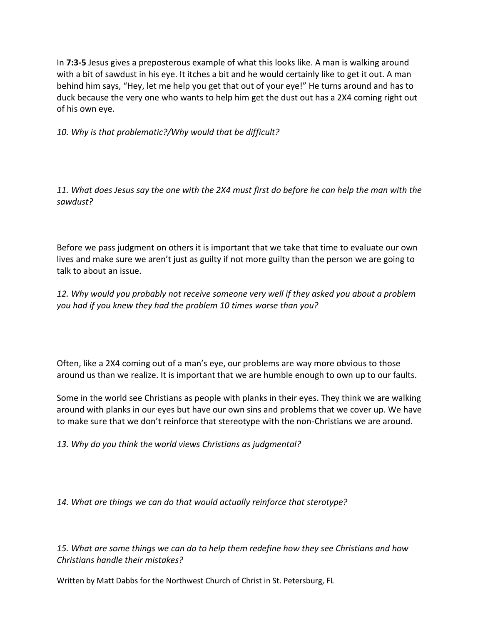In **7:3-5** Jesus gives a preposterous example of what this looks like. A man is walking around with a bit of sawdust in his eye. It itches a bit and he would certainly like to get it out. A man behind him says, "Hey, let me help you get that out of your eye!" He turns around and has to duck because the very one who wants to help him get the dust out has a 2X4 coming right out of his own eye.

*10. Why is that problematic?/Why would that be difficult?*

*11. What does Jesus say the one with the 2X4 must first do before he can help the man with the sawdust?*

Before we pass judgment on others it is important that we take that time to evaluate our own lives and make sure we aren't just as guilty if not more guilty than the person we are going to talk to about an issue.

*12. Why would you probably not receive someone very well if they asked you about a problem you had if you knew they had the problem 10 times worse than you?*

Often, like a 2X4 coming out of a man's eye, our problems are way more obvious to those around us than we realize. It is important that we are humble enough to own up to our faults.

Some in the world see Christians as people with planks in their eyes. They think we are walking around with planks in our eyes but have our own sins and problems that we cover up. We have to make sure that we don't reinforce that stereotype with the non-Christians we are around.

*13. Why do you think the world views Christians as judgmental?*

*14. What are things we can do that would actually reinforce that sterotype?*

*15. What are some things we can do to help them redefine how they see Christians and how Christians handle their mistakes?*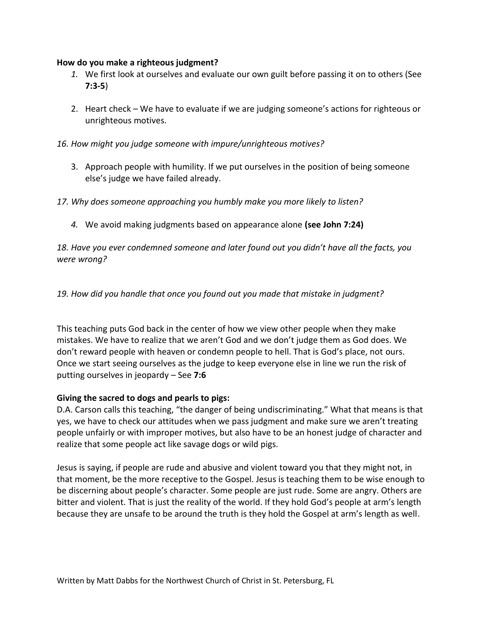#### **How do you make a righteous judgment?**

- *1.* We first look at ourselves and evaluate our own guilt before passing it on to others (See **7:3-5**)
- 2. Heart check We have to evaluate if we are judging someone's actions for righteous or unrighteous motives.
- *16. How might you judge someone with impure/unrighteous motives?*
	- 3. Approach people with humility. If we put ourselves in the position of being someone else's judge we have failed already.
- *17. Why does someone approaching you humbly make you more likely to listen?*
	- *4.* We avoid making judgments based on appearance alone **(see John 7:24)**

*18. Have you ever condemned someone and later found out you didn't have all the facts, you were wrong?*

*19. How did you handle that once you found out you made that mistake in judgment?*

This teaching puts God back in the center of how we view other people when they make mistakes. We have to realize that we aren't God and we don't judge them as God does. We don't reward people with heaven or condemn people to hell. That is God's place, not ours. Once we start seeing ourselves as the judge to keep everyone else in line we run the risk of putting ourselves in jeopardy – See **7:6**

### **Giving the sacred to dogs and pearls to pigs:**

D.A. Carson calls this teaching, "the danger of being undiscriminating." What that means is that yes, we have to check our attitudes when we pass judgment and make sure we aren't treating people unfairly or with improper motives, but also have to be an honest judge of character and realize that some people act like savage dogs or wild pigs.

Jesus is saying, if people are rude and abusive and violent toward you that they might not, in that moment, be the more receptive to the Gospel. Jesus is teaching them to be wise enough to be discerning about people's character. Some people are just rude. Some are angry. Others are bitter and violent. That is just the reality of the world. If they hold God's people at arm's length because they are unsafe to be around the truth is they hold the Gospel at arm's length as well.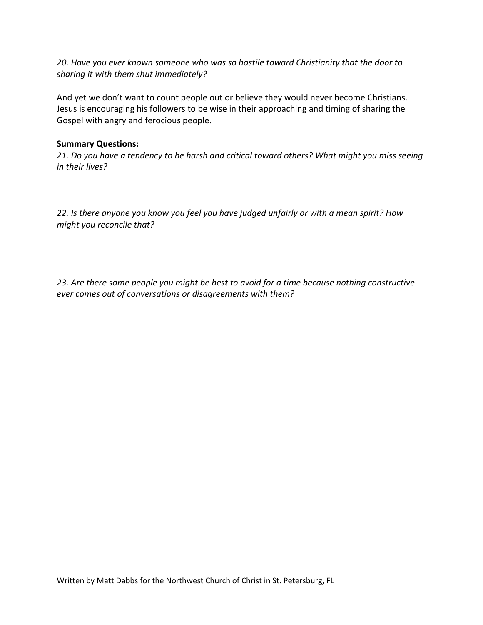*20. Have you ever known someone who was so hostile toward Christianity that the door to sharing it with them shut immediately?*

And yet we don't want to count people out or believe they would never become Christians. Jesus is encouraging his followers to be wise in their approaching and timing of sharing the Gospel with angry and ferocious people.

### **Summary Questions:**

*21. Do you have a tendency to be harsh and critical toward others? What might you miss seeing in their lives?*

*22. Is there anyone you know you feel you have judged unfairly or with a mean spirit? How might you reconcile that?*

*23. Are there some people you might be best to avoid for a time because nothing constructive ever comes out of conversations or disagreements with them?*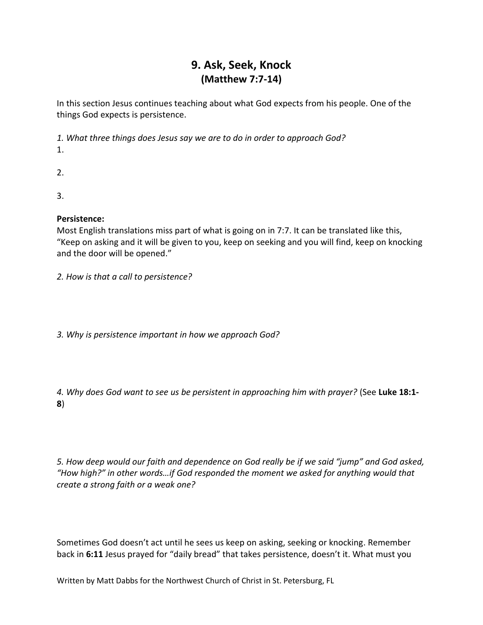# **9. Ask, Seek, Knock (Matthew 7:7-14)**

In this section Jesus continues teaching about what God expects from his people. One of the things God expects is persistence.

*1. What three things does Jesus say we are to do in order to approach God?* 1.

2.

3.

## **Persistence:**

Most English translations miss part of what is going on in 7:7. It can be translated like this, "Keep on asking and it will be given to you, keep on seeking and you will find, keep on knocking and the door will be opened."

*2. How is that a call to persistence?*

*3. Why is persistence important in how we approach God?*

*4. Why does God want to see us be persistent in approaching him with prayer?* (See **Luke 18:1- 8**)

*5. How deep would our faith and dependence on God really be if we said "jump" and God asked, "How high?" in other words…if God responded the moment we asked for anything would that create a strong faith or a weak one?*

Sometimes God doesn't act until he sees us keep on asking, seeking or knocking. Remember back in **6:11** Jesus prayed for "daily bread" that takes persistence, doesn't it. What must you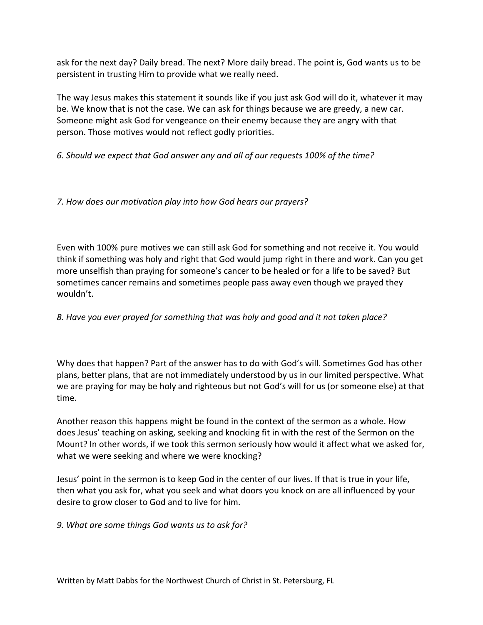ask for the next day? Daily bread. The next? More daily bread. The point is, God wants us to be persistent in trusting Him to provide what we really need.

The way Jesus makes this statement it sounds like if you just ask God will do it, whatever it may be. We know that is not the case. We can ask for things because we are greedy, a new car. Someone might ask God for vengeance on their enemy because they are angry with that person. Those motives would not reflect godly priorities.

*6. Should we expect that God answer any and all of our requests 100% of the time?*

*7. How does our motivation play into how God hears our prayers?*

Even with 100% pure motives we can still ask God for something and not receive it. You would think if something was holy and right that God would jump right in there and work. Can you get more unselfish than praying for someone's cancer to be healed or for a life to be saved? But sometimes cancer remains and sometimes people pass away even though we prayed they wouldn't.

## *8. Have you ever prayed for something that was holy and good and it not taken place?*

Why does that happen? Part of the answer has to do with God's will. Sometimes God has other plans, better plans, that are not immediately understood by us in our limited perspective. What we are praying for may be holy and righteous but not God's will for us (or someone else) at that time.

Another reason this happens might be found in the context of the sermon as a whole. How does Jesus' teaching on asking, seeking and knocking fit in with the rest of the Sermon on the Mount? In other words, if we took this sermon seriously how would it affect what we asked for, what we were seeking and where we were knocking?

Jesus' point in the sermon is to keep God in the center of our lives. If that is true in your life, then what you ask for, what you seek and what doors you knock on are all influenced by your desire to grow closer to God and to live for him.

*9. What are some things God wants us to ask for?*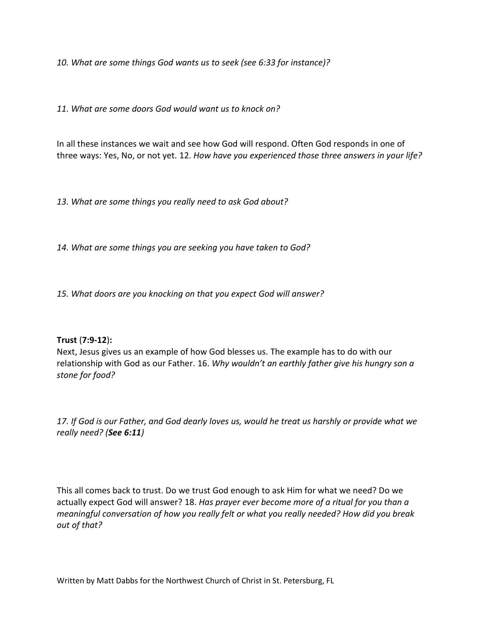*10. What are some things God wants us to seek (see 6:33 for instance)?*

*11. What are some doors God would want us to knock on?*

In all these instances we wait and see how God will respond. Often God responds in one of three ways: Yes, No, or not yet. 12. *How have you experienced those three answers in your life?*

*13. What are some things you really need to ask God about?*

*14. What are some things you are seeking you have taken to God?*

*15. What doors are you knocking on that you expect God will answer?*

### **Trust** (**7:9-12**)**:**

Next, Jesus gives us an example of how God blesses us. The example has to do with our relationship with God as our Father. 16. *Why wouldn't an earthly father give his hungry son a stone for food?*

*17. If God is our Father, and God dearly loves us, would he treat us harshly or provide what we really need? (See 6:11)*

This all comes back to trust. Do we trust God enough to ask Him for what we need? Do we actually expect God will answer? 18. *Has prayer ever become more of a ritual for you than a meaningful conversation of how you really felt or what you really needed? How did you break out of that?*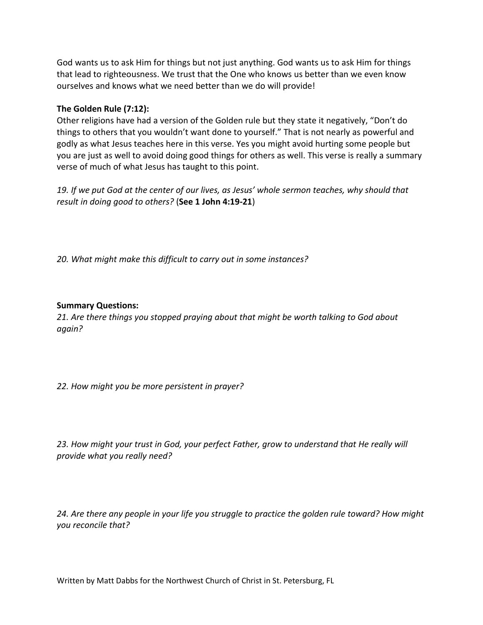God wants us to ask Him for things but not just anything. God wants us to ask Him for things that lead to righteousness. We trust that the One who knows us better than we even know ourselves and knows what we need better than we do will provide!

### **The Golden Rule (7:12):**

Other religions have had a version of the Golden rule but they state it negatively, "Don't do things to others that you wouldn't want done to yourself." That is not nearly as powerful and godly as what Jesus teaches here in this verse. Yes you might avoid hurting some people but you are just as well to avoid doing good things for others as well. This verse is really a summary verse of much of what Jesus has taught to this point.

*19. If we put God at the center of our lives, as Jesus' whole sermon teaches, why should that result in doing good to others?* (**See 1 John 4:19-21**)

*20. What might make this difficult to carry out in some instances?*

### **Summary Questions:**

*21. Are there things you stopped praying about that might be worth talking to God about again?*

*22. How might you be more persistent in prayer?*

*23. How might your trust in God, your perfect Father, grow to understand that He really will provide what you really need?*

*24. Are there any people in your life you struggle to practice the golden rule toward? How might you reconcile that?*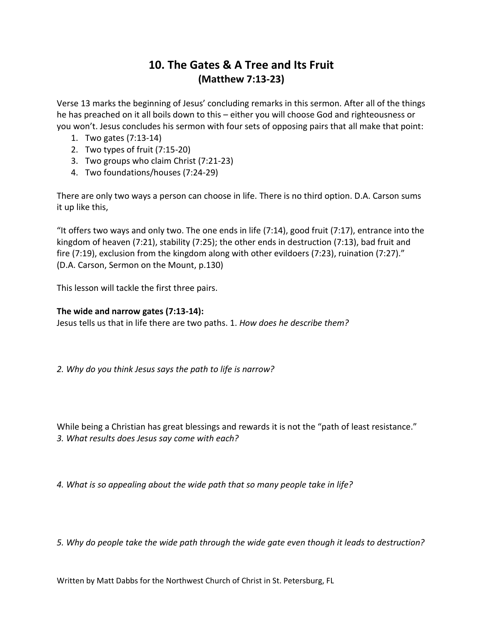## **10. The Gates & A Tree and Its Fruit (Matthew 7:13-23)**

Verse 13 marks the beginning of Jesus' concluding remarks in this sermon. After all of the things he has preached on it all boils down to this – either you will choose God and righteousness or you won't. Jesus concludes his sermon with four sets of opposing pairs that all make that point:

- 1. Two gates (7:13-14)
- 2. Two types of fruit (7:15-20)
- 3. Two groups who claim Christ (7:21-23)
- 4. Two foundations/houses (7:24-29)

There are only two ways a person can choose in life. There is no third option. D.A. Carson sums it up like this,

"It offers two ways and only two. The one ends in life (7:14), good fruit (7:17), entrance into the kingdom of heaven (7:21), stability (7:25); the other ends in destruction (7:13), bad fruit and fire (7:19), exclusion from the kingdom along with other evildoers (7:23), ruination (7:27)." (D.A. Carson, Sermon on the Mount, p.130)

This lesson will tackle the first three pairs.

### **The wide and narrow gates (7:13-14):**

Jesus tells us that in life there are two paths. 1. *How does he describe them?*

*2. Why do you think Jesus says the path to life is narrow?*

While being a Christian has great blessings and rewards it is not the "path of least resistance." *3. What results does Jesus say come with each?*

*4. What is so appealing about the wide path that so many people take in life?*

*5. Why do people take the wide path through the wide gate even though it leads to destruction?*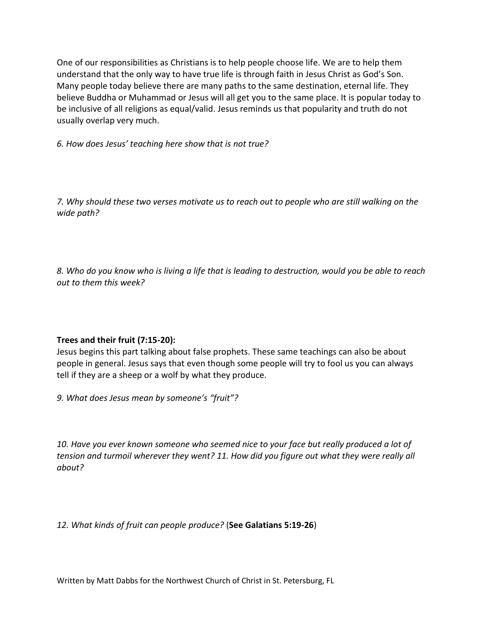One of our responsibilities as Christians is to help people choose life. We are to help them understand that the only way to have true life is through faith in Jesus Christ as God's Son. Many people today believe there are many paths to the same destination, eternal life. They believe Buddha or Muhammad or Jesus will all get you to the same place. It is popular today to be inclusive of all religions as equal/valid. Jesus reminds us that popularity and truth do not usually overlap very much.

*6. How does Jesus' teaching here show that is not true?*

*7. Why should these two verses motivate us to reach out to people who are still walking on the wide path?*

*8. Who do you know who is living a life that is leading to destruction, would you be able to reach out to them this week?*

### **Trees and their fruit (7:15-20):**

Jesus begins this part talking about false prophets. These same teachings can also be about people in general. Jesus says that even though some people will try to fool us you can always tell if they are a sheep or a wolf by what they produce.

*9. What does Jesus mean by someone's "fruit"?*

*10. Have you ever known someone who seemed nice to your face but really produced a lot of tension and turmoil wherever they went? 11. How did you figure out what they were really all about?*

*12. What kinds of fruit can people produce?* (**See Galatians 5:19-26**)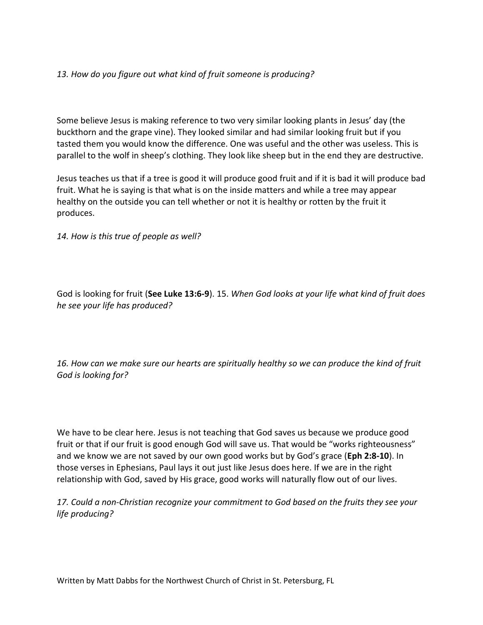### *13. How do you figure out what kind of fruit someone is producing?*

Some believe Jesus is making reference to two very similar looking plants in Jesus' day (the buckthorn and the grape vine). They looked similar and had similar looking fruit but if you tasted them you would know the difference. One was useful and the other was useless. This is parallel to the wolf in sheep's clothing. They look like sheep but in the end they are destructive.

Jesus teaches us that if a tree is good it will produce good fruit and if it is bad it will produce bad fruit. What he is saying is that what is on the inside matters and while a tree may appear healthy on the outside you can tell whether or not it is healthy or rotten by the fruit it produces.

*14. How is this true of people as well?*

God is looking for fruit (**See Luke 13:6-9**). 15. *When God looks at your life what kind of fruit does he see your life has produced?*

*16. How can we make sure our hearts are spiritually healthy so we can produce the kind of fruit God is looking for?* 

We have to be clear here. Jesus is not teaching that God saves us because we produce good fruit or that if our fruit is good enough God will save us. That would be "works righteousness" and we know we are not saved by our own good works but by God's grace (**Eph 2:8-10**). In those verses in Ephesians, Paul lays it out just like Jesus does here. If we are in the right relationship with God, saved by His grace, good works will naturally flow out of our lives.

*17. Could a non-Christian recognize your commitment to God based on the fruits they see your life producing?*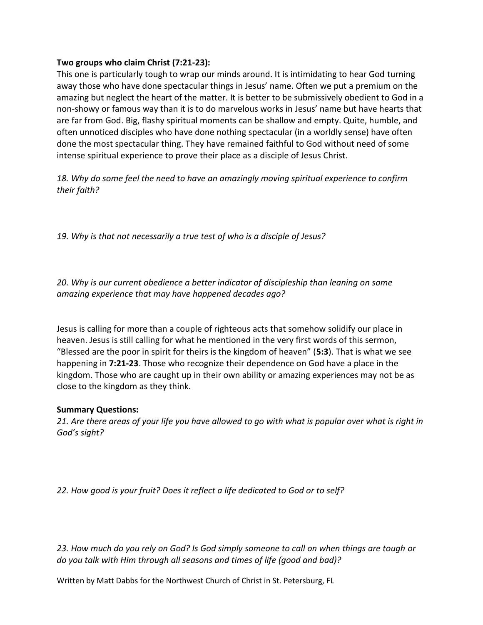### **Two groups who claim Christ (7:21-23):**

This one is particularly tough to wrap our minds around. It is intimidating to hear God turning away those who have done spectacular things in Jesus' name. Often we put a premium on the amazing but neglect the heart of the matter. It is better to be submissively obedient to God in a non-showy or famous way than it is to do marvelous works in Jesus' name but have hearts that are far from God. Big, flashy spiritual moments can be shallow and empty. Quite, humble, and often unnoticed disciples who have done nothing spectacular (in a worldly sense) have often done the most spectacular thing. They have remained faithful to God without need of some intense spiritual experience to prove their place as a disciple of Jesus Christ.

*18. Why do some feel the need to have an amazingly moving spiritual experience to confirm their faith?*

*19. Why is that not necessarily a true test of who is a disciple of Jesus?*

*20. Why is our current obedience a better indicator of discipleship than leaning on some amazing experience that may have happened decades ago?*

Jesus is calling for more than a couple of righteous acts that somehow solidify our place in heaven. Jesus is still calling for what he mentioned in the very first words of this sermon, "Blessed are the poor in spirit for theirs is the kingdom of heaven" (**5:3**). That is what we see happening in **7:21-23**. Those who recognize their dependence on God have a place in the kingdom. Those who are caught up in their own ability or amazing experiences may not be as close to the kingdom as they think.

### **Summary Questions:**

*21. Are there areas of your life you have allowed to go with what is popular over what is right in God's sight?* 

*22. How good is your fruit? Does it reflect a life dedicated to God or to self?*

*23. How much do you rely on God? Is God simply someone to call on when things are tough or do you talk with Him through all seasons and times of life (good and bad)?*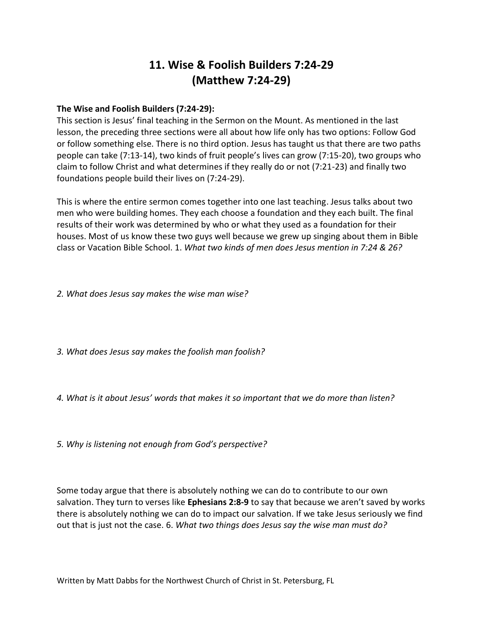# **11. Wise & Foolish Builders 7:24-29 (Matthew 7:24-29)**

### **The Wise and Foolish Builders (7:24-29):**

This section is Jesus' final teaching in the Sermon on the Mount. As mentioned in the last lesson, the preceding three sections were all about how life only has two options: Follow God or follow something else. There is no third option. Jesus has taught us that there are two paths people can take (7:13-14), two kinds of fruit people's lives can grow (7:15-20), two groups who claim to follow Christ and what determines if they really do or not (7:21-23) and finally two foundations people build their lives on (7:24-29).

This is where the entire sermon comes together into one last teaching. Jesus talks about two men who were building homes. They each choose a foundation and they each built. The final results of their work was determined by who or what they used as a foundation for their houses. Most of us know these two guys well because we grew up singing about them in Bible class or Vacation Bible School. 1. *What two kinds of men does Jesus mention in 7:24 & 26?*

*2. What does Jesus say makes the wise man wise?*

*3. What does Jesus say makes the foolish man foolish?*

*4. What is it about Jesus' words that makes it so important that we do more than listen?*

*5. Why is listening not enough from God's perspective?*

Some today argue that there is absolutely nothing we can do to contribute to our own salvation. They turn to verses like **Ephesians 2:8-9** to say that because we aren't saved by works there is absolutely nothing we can do to impact our salvation. If we take Jesus seriously we find out that is just not the case. 6. *What two things does Jesus say the wise man must do?*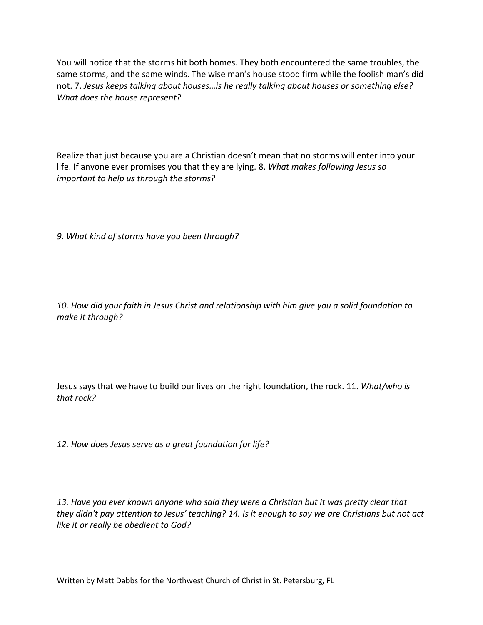You will notice that the storms hit both homes. They both encountered the same troubles, the same storms, and the same winds. The wise man's house stood firm while the foolish man's did not. 7. *Jesus keeps talking about houses…is he really talking about houses or something else? What does the house represent?*

Realize that just because you are a Christian doesn't mean that no storms will enter into your life. If anyone ever promises you that they are lying. 8. *What makes following Jesus so important to help us through the storms?*

*9. What kind of storms have you been through?*

*10. How did your faith in Jesus Christ and relationship with him give you a solid foundation to make it through?*

Jesus says that we have to build our lives on the right foundation, the rock. 11. *What/who is that rock?*

*12. How does Jesus serve as a great foundation for life?*

*13. Have you ever known anyone who said they were a Christian but it was pretty clear that they didn't pay attention to Jesus' teaching? 14. Is it enough to say we are Christians but not act like it or really be obedient to God?*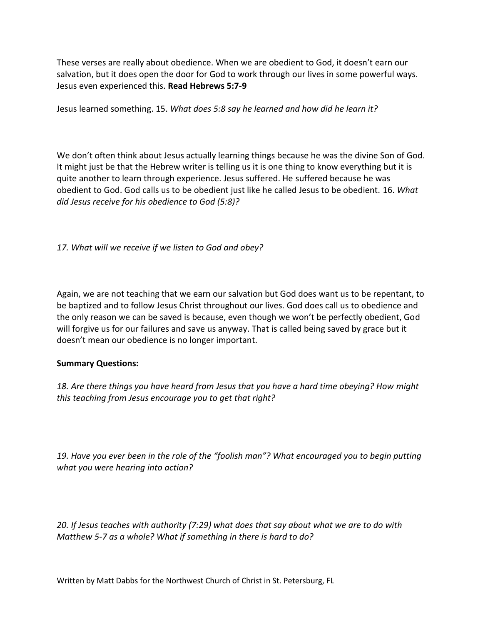These verses are really about obedience. When we are obedient to God, it doesn't earn our salvation, but it does open the door for God to work through our lives in some powerful ways. Jesus even experienced this. **Read Hebrews 5:7-9**

Jesus learned something. 15. *What does 5:8 say he learned and how did he learn it?*

We don't often think about Jesus actually learning things because he was the divine Son of God. It might just be that the Hebrew writer is telling us it is one thing to know everything but it is quite another to learn through experience. Jesus suffered. He suffered because he was obedient to God. God calls us to be obedient just like he called Jesus to be obedient. 16. *What did Jesus receive for his obedience to God (5:8)?*

*17. What will we receive if we listen to God and obey?*

Again, we are not teaching that we earn our salvation but God does want us to be repentant, to be baptized and to follow Jesus Christ throughout our lives. God does call us to obedience and the only reason we can be saved is because, even though we won't be perfectly obedient, God will forgive us for our failures and save us anyway. That is called being saved by grace but it doesn't mean our obedience is no longer important.

### **Summary Questions:**

*18. Are there things you have heard from Jesus that you have a hard time obeying? How might this teaching from Jesus encourage you to get that right?*

*19. Have you ever been in the role of the "foolish man"? What encouraged you to begin putting what you were hearing into action?*

*20. If Jesus teaches with authority (7:29) what does that say about what we are to do with Matthew 5-7 as a whole? What if something in there is hard to do?*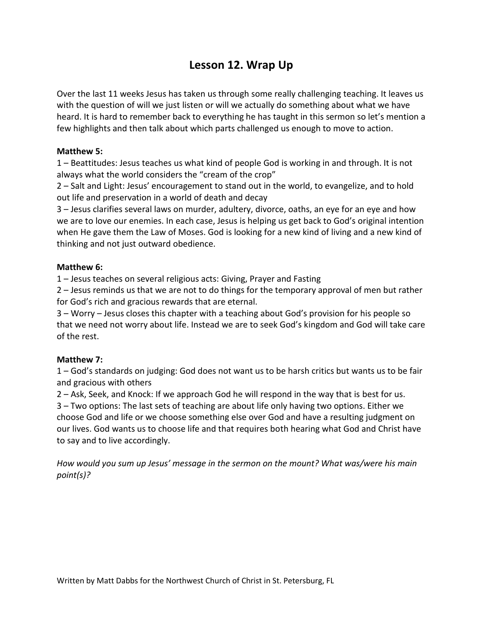# **Lesson 12. Wrap Up**

Over the last 11 weeks Jesus has taken us through some really challenging teaching. It leaves us with the question of will we just listen or will we actually do something about what we have heard. It is hard to remember back to everything he has taught in this sermon so let's mention a few highlights and then talk about which parts challenged us enough to move to action.

## **Matthew 5:**

1 – Beattitudes: Jesus teaches us what kind of people God is working in and through. It is not always what the world considers the "cream of the crop"

2 – Salt and Light: Jesus' encouragement to stand out in the world, to evangelize, and to hold out life and preservation in a world of death and decay

3 – Jesus clarifies several laws on murder, adultery, divorce, oaths, an eye for an eye and how we are to love our enemies. In each case, Jesus is helping us get back to God's original intention when He gave them the Law of Moses. God is looking for a new kind of living and a new kind of thinking and not just outward obedience.

## **Matthew 6:**

1 – Jesus teaches on several religious acts: Giving, Prayer and Fasting

2 – Jesus reminds us that we are not to do things for the temporary approval of men but rather for God's rich and gracious rewards that are eternal.

3 – Worry – Jesus closes this chapter with a teaching about God's provision for his people so that we need not worry about life. Instead we are to seek God's kingdom and God will take care of the rest.

## **Matthew 7:**

1 – God's standards on judging: God does not want us to be harsh critics but wants us to be fair and gracious with others

2 – Ask, Seek, and Knock: If we approach God he will respond in the way that is best for us. 3 – Two options: The last sets of teaching are about life only having two options. Either we choose God and life or we choose something else over God and have a resulting judgment on our lives. God wants us to choose life and that requires both hearing what God and Christ have to say and to live accordingly.

*How would you sum up Jesus' message in the sermon on the mount? What was/were his main point(s)?*